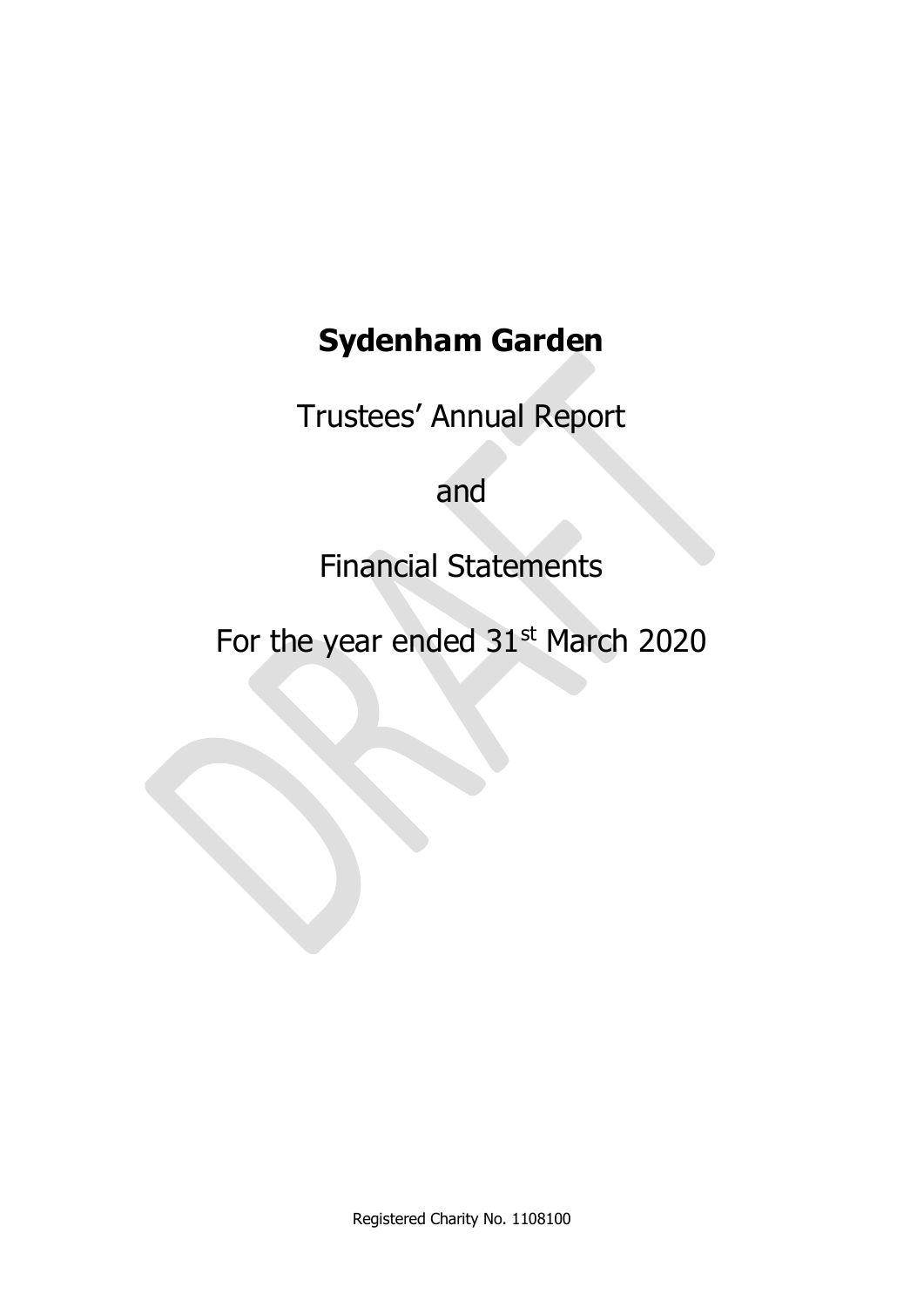# **Sydenham Garden**

Trustees' Annual Report

and

Financial Statements

For the year ended 31<sup>st</sup> March 2020

Registered Charity No. 1108100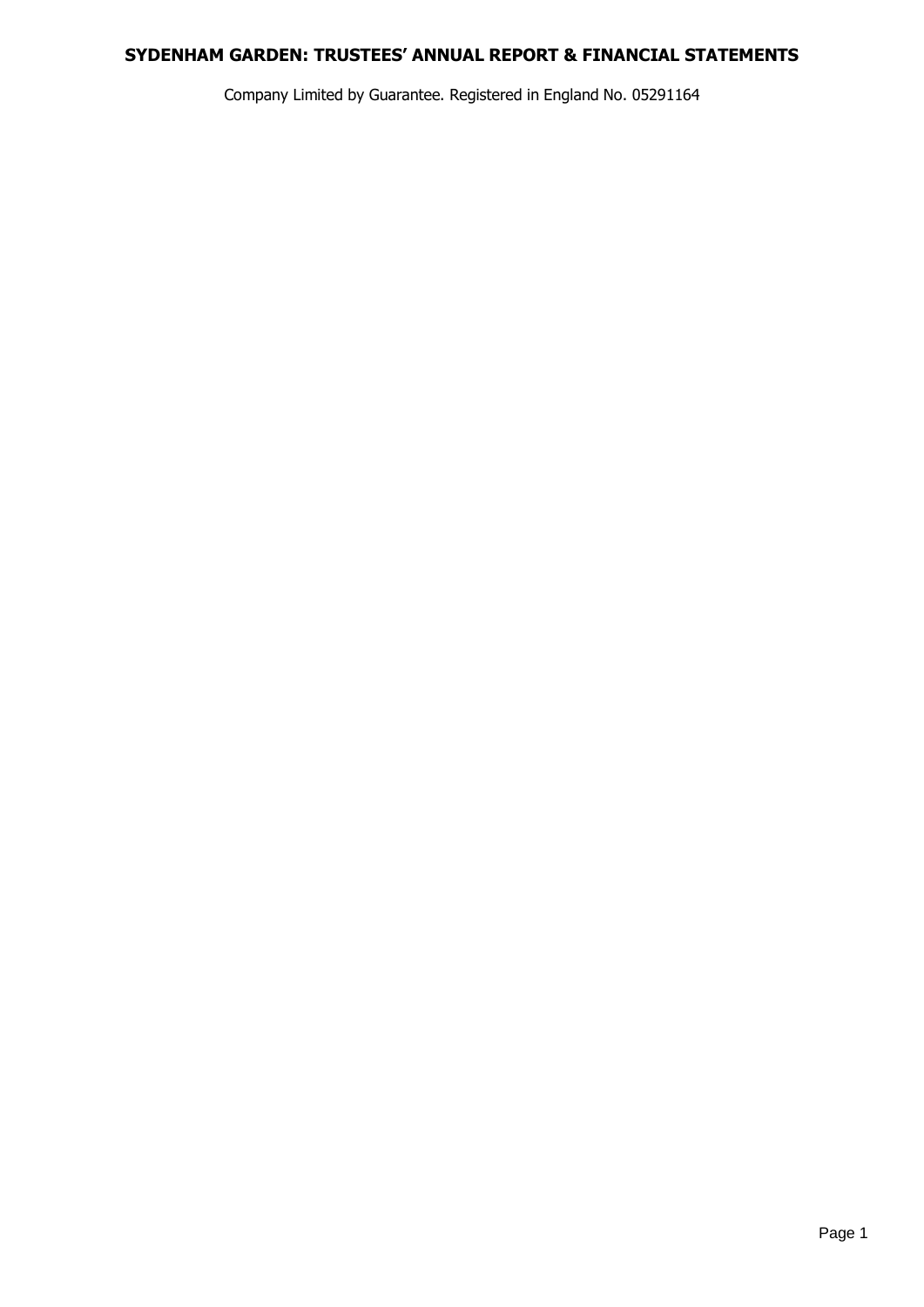Company Limited by Guarantee. Registered in England No. 05291164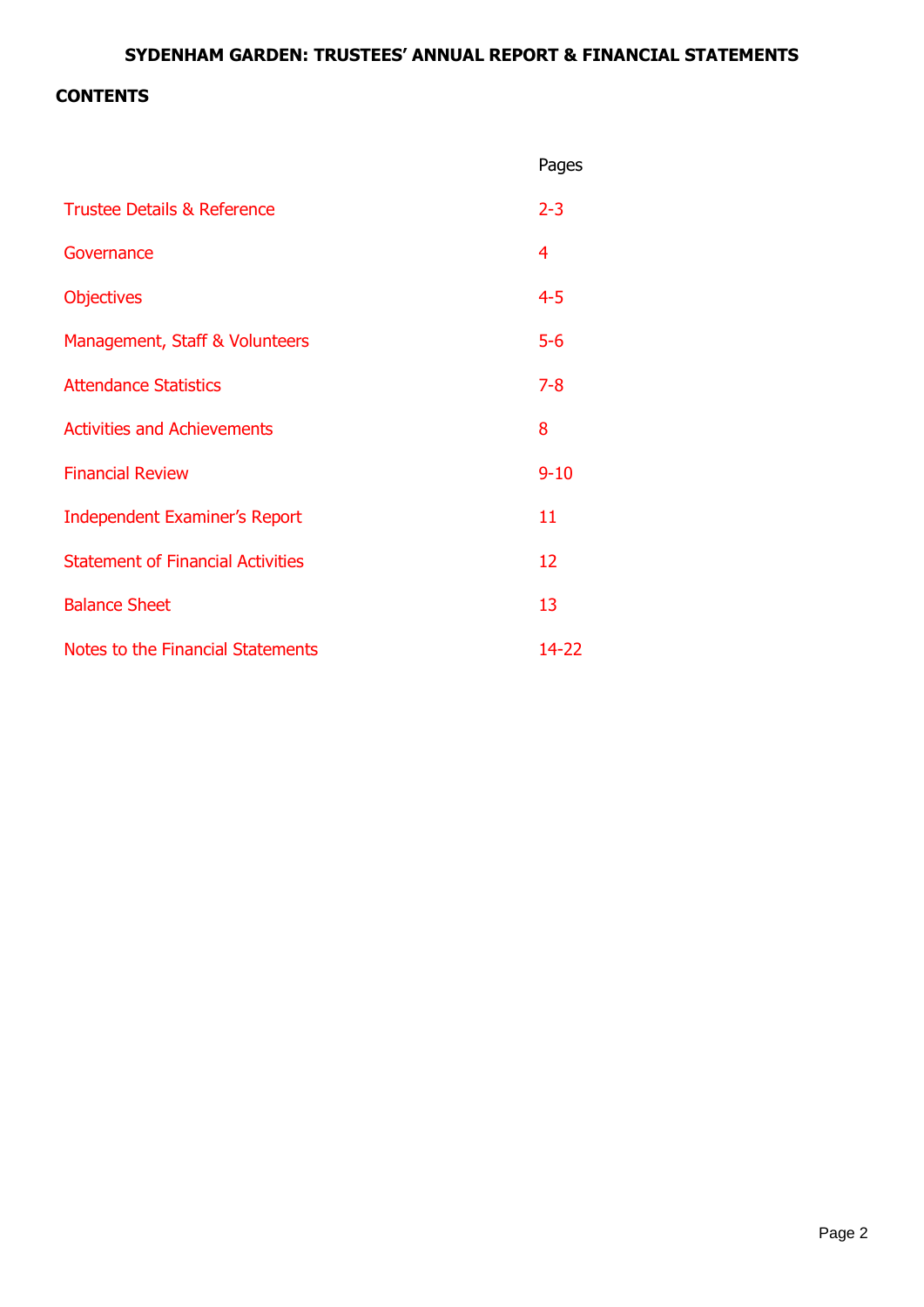# **CONTENTS**

|                                          | Pages    |
|------------------------------------------|----------|
| <b>Trustee Details &amp; Reference</b>   | $2 - 3$  |
| Governance                               | 4        |
| <b>Objectives</b>                        | $4 - 5$  |
| Management, Staff & Volunteers           | $5 - 6$  |
| <b>Attendance Statistics</b>             | $7 - 8$  |
| <b>Activities and Achievements</b>       | 8        |
| <b>Financial Review</b>                  | $9 - 10$ |
| <b>Independent Examiner's Report</b>     | 11       |
| <b>Statement of Financial Activities</b> | 12       |
| <b>Balance Sheet</b>                     | 13       |
| Notes to the Financial Statements        | 14-22    |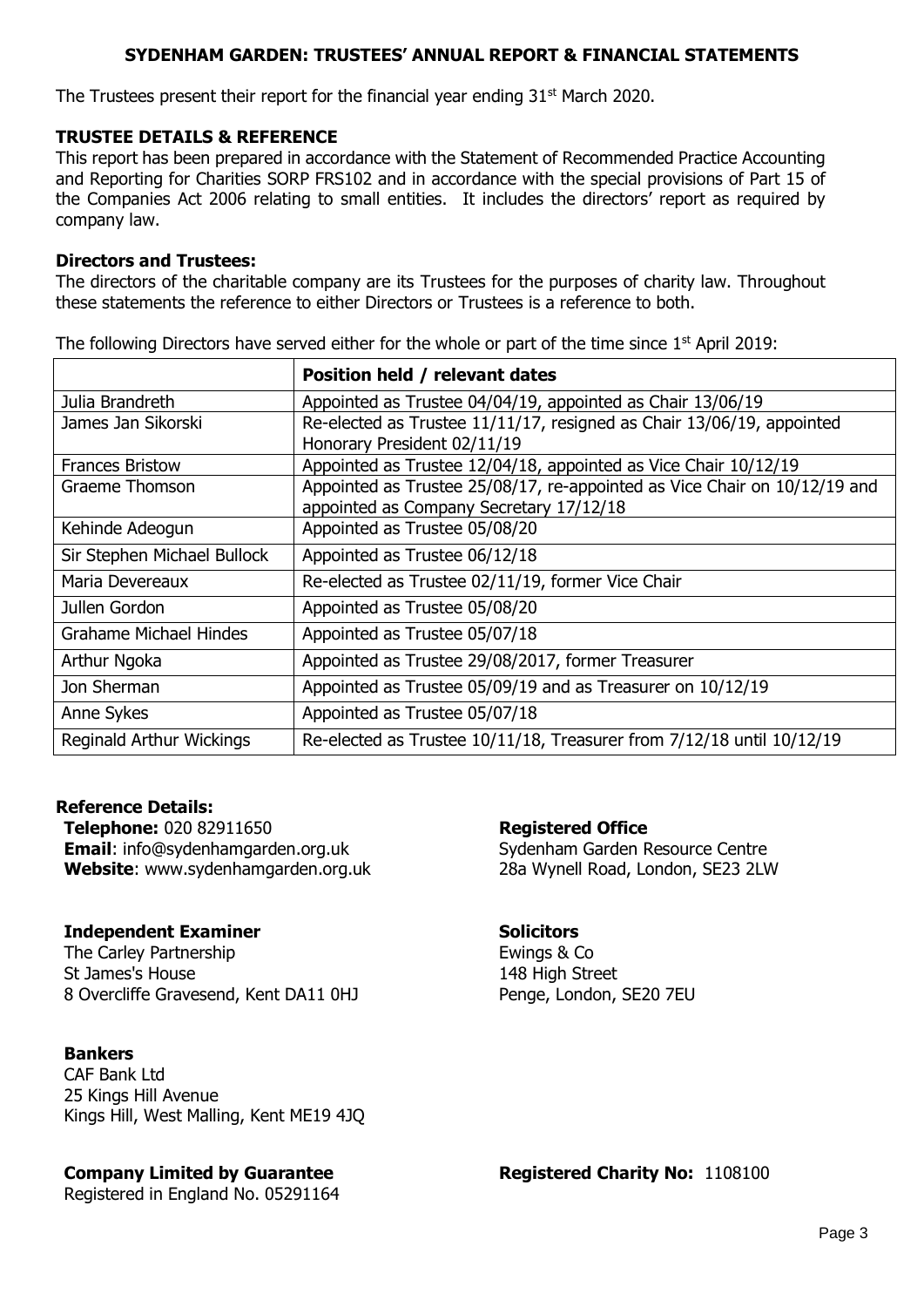The Trustees present their report for the financial year ending  $31<sup>st</sup>$  March 2020.

#### **TRUSTEE DETAILS & REFERENCE**

This report has been prepared in accordance with the Statement of Recommended Practice Accounting and Reporting for Charities SORP FRS102 and in accordance with the special provisions of Part 15 of the Companies Act 2006 relating to small entities. It includes the directors' report as required by company law.

#### **Directors and Trustees:**

The directors of the charitable company are its Trustees for the purposes of charity law. Throughout these statements the reference to either Directors or Trustees is a reference to both.

The following Directors have served either for the whole or part of the time since  $1<sup>st</sup>$  April 2019:

|                                 | Position held / relevant dates                                            |
|---------------------------------|---------------------------------------------------------------------------|
| Julia Brandreth                 | Appointed as Trustee 04/04/19, appointed as Chair 13/06/19                |
| James Jan Sikorski              | Re-elected as Trustee 11/11/17, resigned as Chair 13/06/19, appointed     |
|                                 | Honorary President 02/11/19                                               |
| <b>Frances Bristow</b>          | Appointed as Trustee 12/04/18, appointed as Vice Chair 10/12/19           |
| Graeme Thomson                  | Appointed as Trustee 25/08/17, re-appointed as Vice Chair on 10/12/19 and |
|                                 | appointed as Company Secretary 17/12/18                                   |
| Kehinde Adeogun                 | Appointed as Trustee 05/08/20                                             |
| Sir Stephen Michael Bullock     | Appointed as Trustee 06/12/18                                             |
| Maria Devereaux                 | Re-elected as Trustee 02/11/19, former Vice Chair                         |
| Jullen Gordon                   | Appointed as Trustee 05/08/20                                             |
| <b>Grahame Michael Hindes</b>   | Appointed as Trustee 05/07/18                                             |
| Arthur Ngoka                    | Appointed as Trustee 29/08/2017, former Treasurer                         |
| Jon Sherman                     | Appointed as Trustee 05/09/19 and as Treasurer on 10/12/19                |
| Anne Sykes                      | Appointed as Trustee 05/07/18                                             |
| <b>Reginald Arthur Wickings</b> | Re-elected as Trustee 10/11/18, Treasurer from 7/12/18 until 10/12/19     |

#### **Reference Details:**

**Telephone:** 020 82911650 **Email**: info@sydenhamgarden.org.uk **Website**: www.sydenhamgarden.org.uk

#### **Independent Examiner**

The Carley Partnership St James's House 8 Overcliffe Gravesend, Kent DA11 0HJ

#### **Bankers**

CAF Bank Ltd 25 Kings Hill Avenue Kings Hill, West Malling, Kent ME19 4JQ

#### **Company Limited by Guarantee**

Registered in England No. 05291164

#### **Registered Office**

Sydenham Garden Resource Centre 28a Wynell Road, London, SE23 2LW

#### **Solicitors**

Ewings & Co 148 High Street Penge, London, SE20 7EU

**Registered Charity No:** 1108100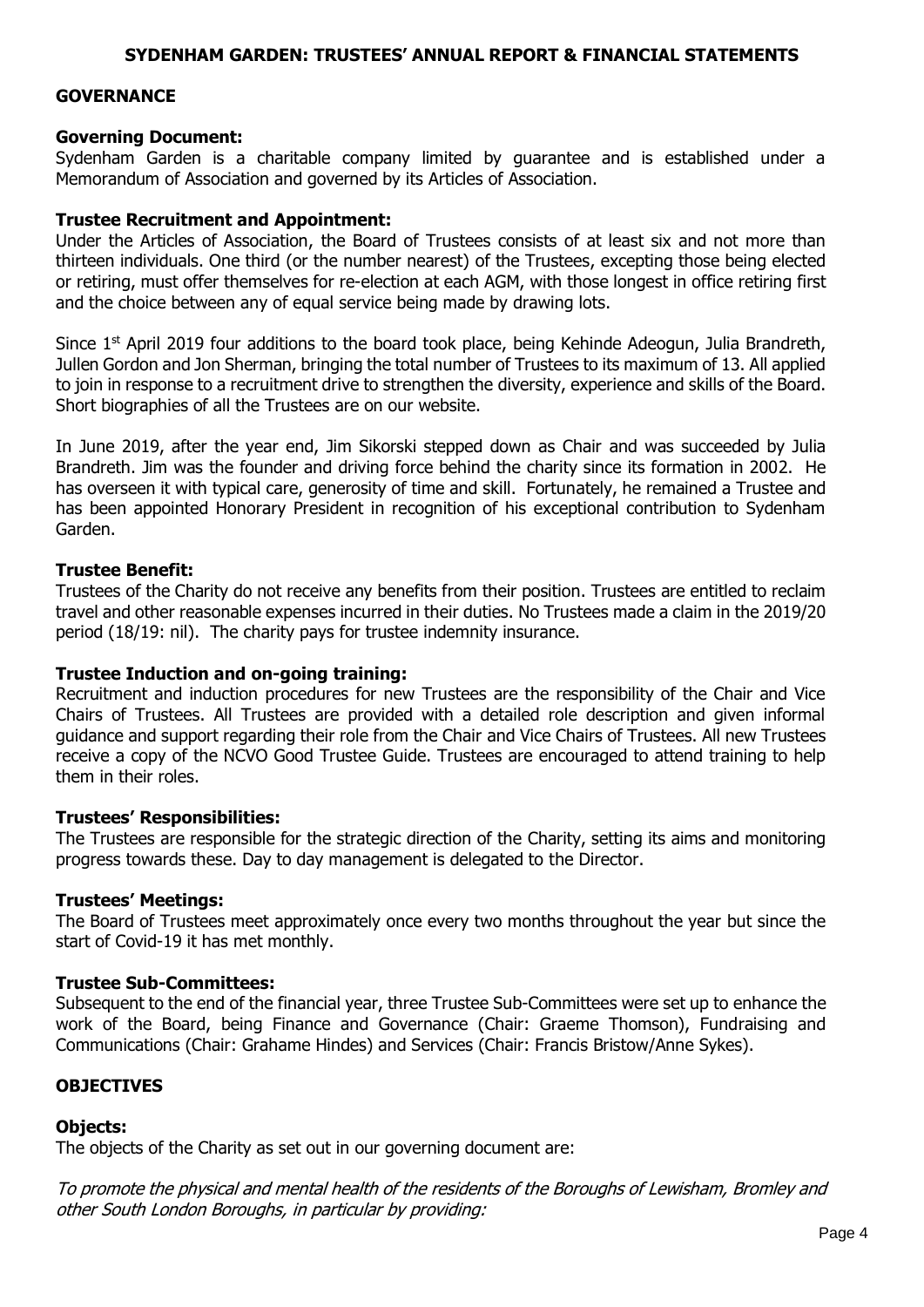#### **GOVERNANCE**

#### **Governing Document:**

Sydenham Garden is a charitable company limited by guarantee and is established under a Memorandum of Association and governed by its Articles of Association.

#### **Trustee Recruitment and Appointment:**

Under the Articles of Association, the Board of Trustees consists of at least six and not more than thirteen individuals. One third (or the number nearest) of the Trustees, excepting those being elected or retiring, must offer themselves for re-election at each AGM, with those longest in office retiring first and the choice between any of equal service being made by drawing lots.

Since  $1^{st}$  April 2019 four additions to the board took place, being Kehinde Adeogun, Julia Brandreth, Jullen Gordon and Jon Sherman, bringing the total number of Trustees to its maximum of 13. All applied to join in response to a recruitment drive to strengthen the diversity, experience and skills of the Board. Short biographies of all the Trustees are on our website.

In June 2019, after the year end, Jim Sikorski stepped down as Chair and was succeeded by Julia Brandreth. Jim was the founder and driving force behind the charity since its formation in 2002. He has overseen it with typical care, generosity of time and skill. Fortunately, he remained a Trustee and has been appointed Honorary President in recognition of his exceptional contribution to Sydenham Garden.

#### **Trustee Benefit:**

Trustees of the Charity do not receive any benefits from their position. Trustees are entitled to reclaim travel and other reasonable expenses incurred in their duties. No Trustees made a claim in the 2019/20 period (18/19: nil). The charity pays for trustee indemnity insurance.

#### **Trustee Induction and on-going training:**

Recruitment and induction procedures for new Trustees are the responsibility of the Chair and Vice Chairs of Trustees. All Trustees are provided with a detailed role description and given informal guidance and support regarding their role from the Chair and Vice Chairs of Trustees. All new Trustees receive a copy of the NCVO Good Trustee Guide. Trustees are encouraged to attend training to help them in their roles.

#### **Trustees' Responsibilities:**

The Trustees are responsible for the strategic direction of the Charity, setting its aims and monitoring progress towards these. Day to day management is delegated to the Director.

#### **Trustees' Meetings:**

The Board of Trustees meet approximately once every two months throughout the year but since the start of Covid-19 it has met monthly.

#### **Trustee Sub-Committees:**

Subsequent to the end of the financial year, three Trustee Sub-Committees were set up to enhance the work of the Board, being Finance and Governance (Chair: Graeme Thomson), Fundraising and Communications (Chair: Grahame Hindes) and Services (Chair: Francis Bristow/Anne Sykes).

#### **OBJECTIVES**

#### **Objects:**

The objects of the Charity as set out in our governing document are:

To promote the physical and mental health of the residents of the Boroughs of Lewisham, Bromley and other South London Boroughs, in particular by providing: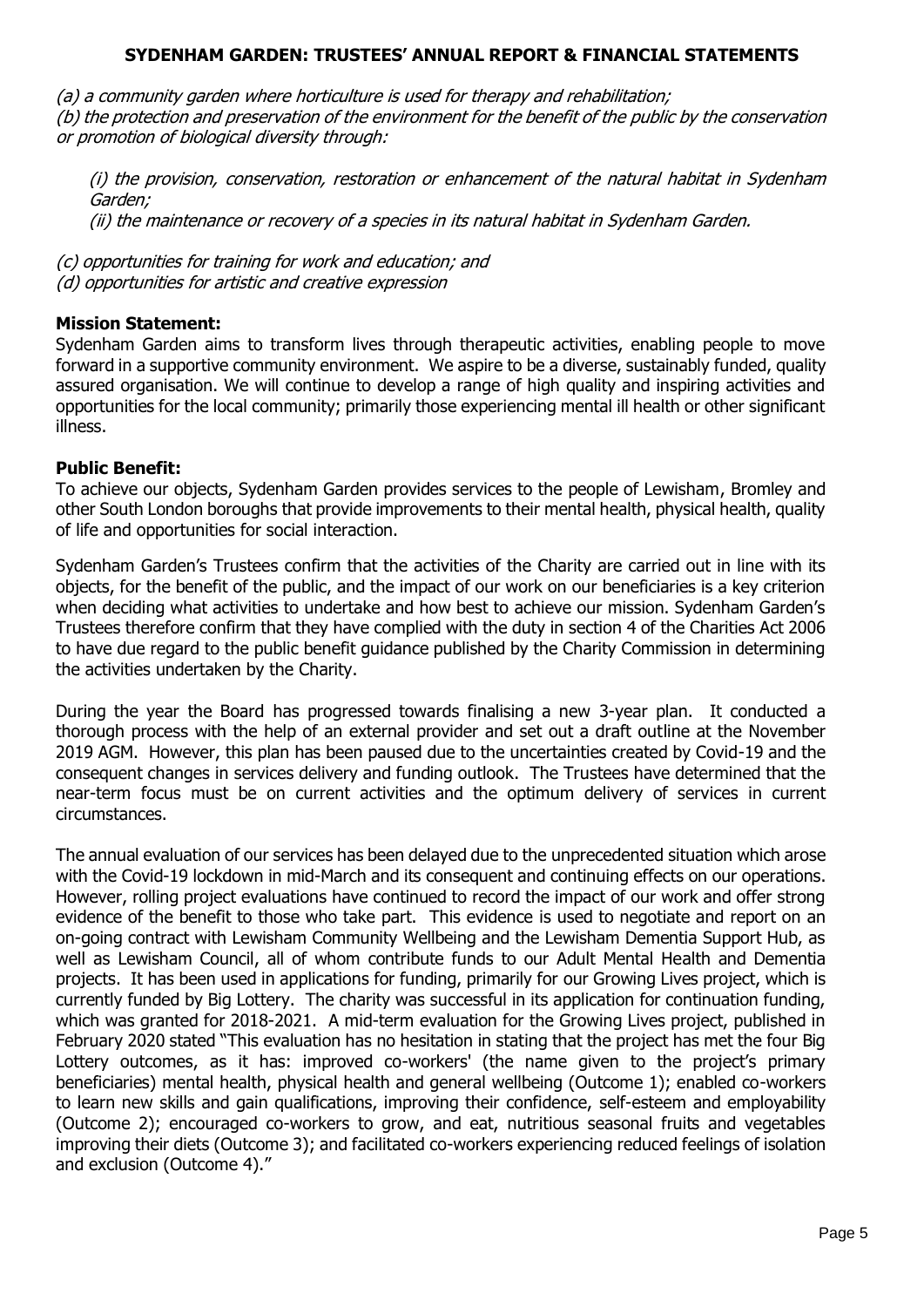(a) a community garden where horticulture is used for therapy and rehabilitation;

(b) the protection and preservation of the environment for the benefit of the public by the conservation or promotion of biological diversity through:

(i) the provision, conservation, restoration or enhancement of the natural habitat in Sydenham Garden;

(ii) the maintenance or recovery of a species in its natural habitat in Sydenham Garden.

(c) opportunities for training for work and education; and (d) opportunities for artistic and creative expression

## **Mission Statement:**

Sydenham Garden aims to transform lives through therapeutic activities, enabling people to move forward in a supportive community environment. We aspire to be a diverse, sustainably funded, quality assured organisation. We will continue to develop a range of high quality and inspiring activities and opportunities for the local community; primarily those experiencing mental ill health or other significant illness.

## **Public Benefit:**

To achieve our objects, Sydenham Garden provides services to the people of Lewisham, Bromley and other South London boroughs that provide improvements to their mental health, physical health, quality of life and opportunities for social interaction.

Sydenham Garden's Trustees confirm that the activities of the Charity are carried out in line with its objects, for the benefit of the public, and the impact of our work on our beneficiaries is a key criterion when deciding what activities to undertake and how best to achieve our mission. Sydenham Garden's Trustees therefore confirm that they have complied with the duty in section 4 of the Charities Act 2006 to have due regard to the public benefit guidance published by the Charity Commission in determining the activities undertaken by the Charity.

During the year the Board has progressed towards finalising a new 3-year plan. It conducted a thorough process with the help of an external provider and set out a draft outline at the November 2019 AGM. However, this plan has been paused due to the uncertainties created by Covid-19 and the consequent changes in services delivery and funding outlook. The Trustees have determined that the near-term focus must be on current activities and the optimum delivery of services in current circumstances.

The annual evaluation of our services has been delayed due to the unprecedented situation which arose with the Covid-19 lockdown in mid-March and its consequent and continuing effects on our operations. However, rolling project evaluations have continued to record the impact of our work and offer strong evidence of the benefit to those who take part. This evidence is used to negotiate and report on an on-going contract with Lewisham Community Wellbeing and the Lewisham Dementia Support Hub, as well as Lewisham Council, all of whom contribute funds to our Adult Mental Health and Dementia projects. It has been used in applications for funding, primarily for our Growing Lives project, which is currently funded by Big Lottery. The charity was successful in its application for continuation funding, which was granted for 2018-2021. A mid-term evaluation for the Growing Lives project, published in February 2020 stated "This evaluation has no hesitation in stating that the project has met the four Big Lottery outcomes, as it has: improved co-workers' (the name given to the project's primary beneficiaries) mental health, physical health and general wellbeing (Outcome 1); enabled co-workers to learn new skills and gain qualifications, improving their confidence, self-esteem and employability (Outcome 2); encouraged co-workers to grow, and eat, nutritious seasonal fruits and vegetables improving their diets (Outcome 3); and facilitated co-workers experiencing reduced feelings of isolation and exclusion (Outcome 4)."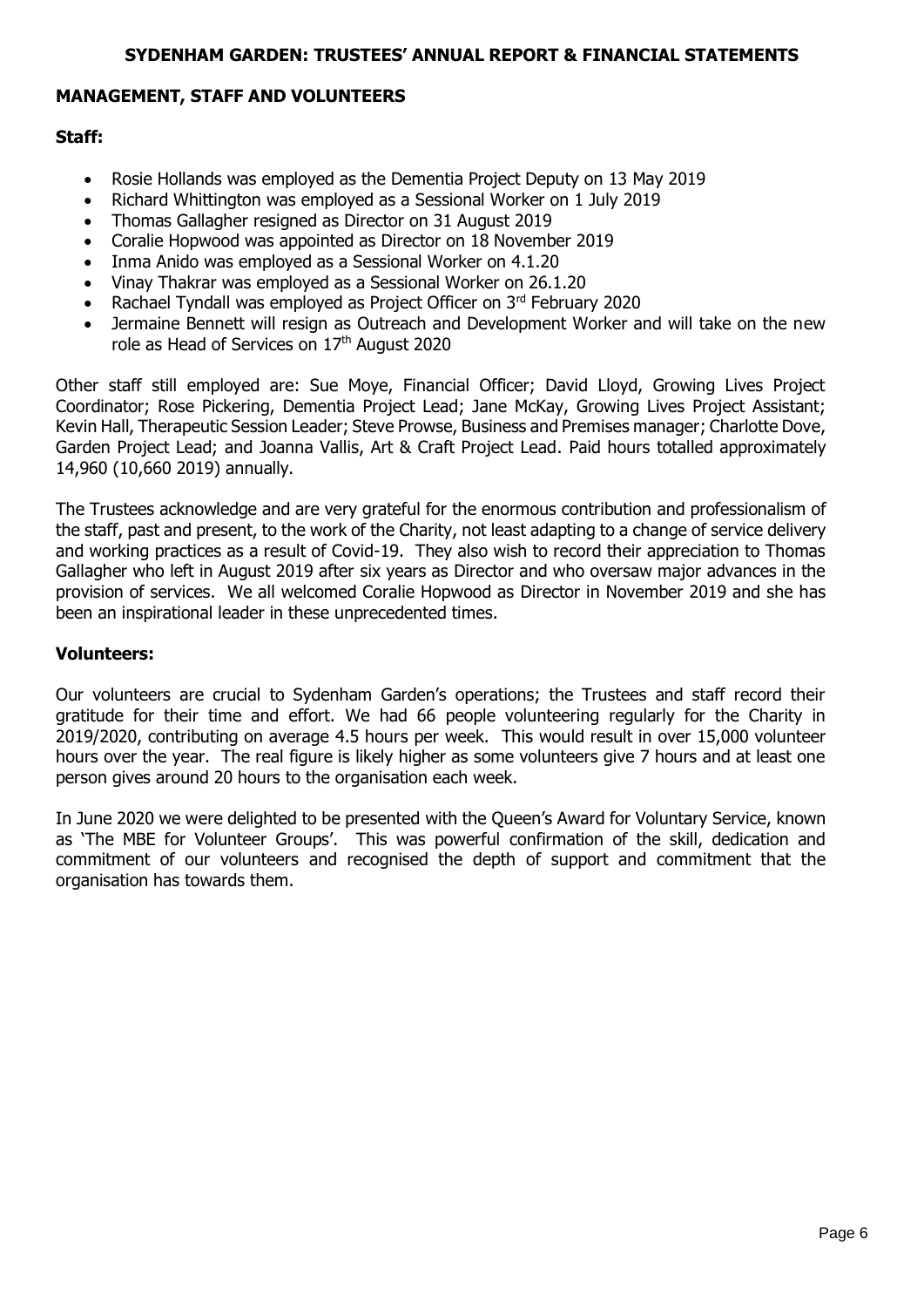#### **MANAGEMENT, STAFF AND VOLUNTEERS**

#### **Staff:**

- Rosie Hollands was employed as the Dementia Project Deputy on 13 May 2019
- Richard Whittington was employed as a Sessional Worker on 1 July 2019
- Thomas Gallagher resigned as Director on 31 August 2019
- Coralie Hopwood was appointed as Director on 18 November 2019
- Inma Anido was employed as a Sessional Worker on 4.1.20
- Vinay Thakrar was employed as a Sessional Worker on 26.1.20
- Rachael Tyndall was employed as Project Officer on 3rd February 2020
- Jermaine Bennett will resign as Outreach and Development Worker and will take on the new role as Head of Services on 17<sup>th</sup> August 2020

Other staff still employed are: Sue Moye, Financial Officer; David Lloyd, Growing Lives Project Coordinator; Rose Pickering, Dementia Project Lead; Jane McKay, Growing Lives Project Assistant; Kevin Hall, Therapeutic Session Leader; Steve Prowse, Business and Premises manager; Charlotte Dove, Garden Project Lead; and Joanna Vallis, Art & Craft Project Lead. Paid hours totalled approximately 14,960 (10,660 2019) annually.

The Trustees acknowledge and are very grateful for the enormous contribution and professionalism of the staff, past and present, to the work of the Charity, not least adapting to a change of service delivery and working practices as a result of Covid-19. They also wish to record their appreciation to Thomas Gallagher who left in August 2019 after six years as Director and who oversaw major advances in the provision of services. We all welcomed Coralie Hopwood as Director in November 2019 and she has been an inspirational leader in these unprecedented times.

#### **Volunteers:**

Our volunteers are crucial to Sydenham Garden's operations; the Trustees and staff record their gratitude for their time and effort. We had 66 people volunteering regularly for the Charity in 2019/2020, contributing on average 4.5 hours per week. This would result in over 15,000 volunteer hours over the year. The real figure is likely higher as some volunteers give 7 hours and at least one person gives around 20 hours to the organisation each week.

In June 2020 we were delighted to be presented with the Queen's Award for Voluntary Service, known as 'The MBE for Volunteer Groups'. This was powerful confirmation of the skill, dedication and commitment of our volunteers and recognised the depth of support and commitment that the organisation has towards them.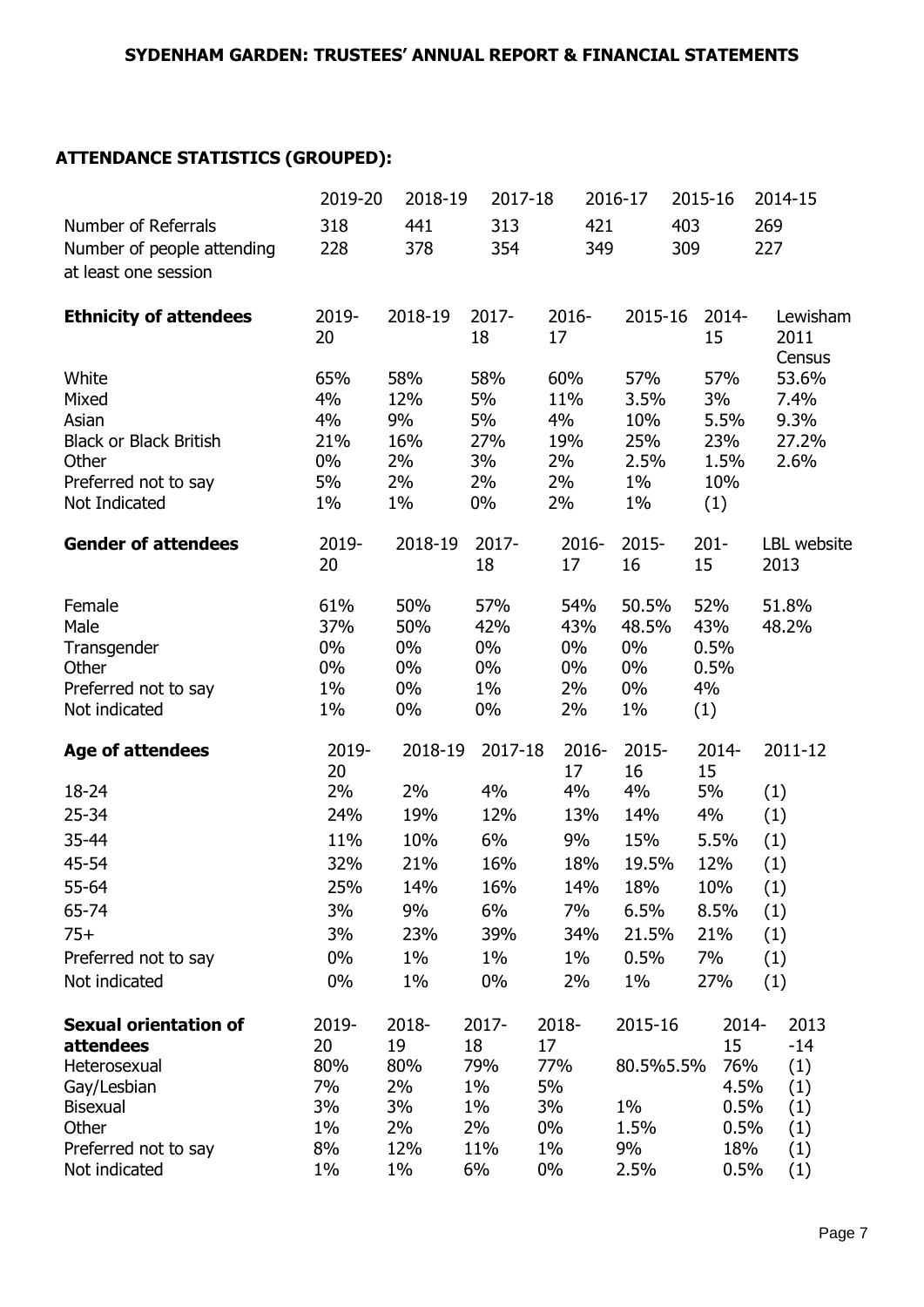# **ATTENDANCE STATISTICS (GROUPED):**

|                               | 2019-20   | 2018-19    | 2017-18   |             | 2016-17     |     | 2015-16     | 2014-15       |
|-------------------------------|-----------|------------|-----------|-------------|-------------|-----|-------------|---------------|
| Number of Referrals           | 318       | 441        | 313       | 421         |             | 403 |             | 269           |
| Number of people attending    | 228       | 378        | 354       | 349         |             | 309 |             | 227           |
| at least one session          |           |            |           |             |             |     |             |               |
|                               |           |            |           |             |             |     |             |               |
| <b>Ethnicity of attendees</b> | 2019-     | 2018-19    | 2017-     | 2016-       | 2015-16     |     | 2014-       | Lewisham      |
|                               | 20        |            | 18        | 17          |             |     | 15          | 2011          |
|                               |           |            |           |             |             |     |             | Census        |
| White<br>Mixed                | 65%<br>4% | 58%<br>12% | 58%<br>5% | 60%<br>11%  | 57%<br>3.5% |     | 57%<br>3%   | 53.6%<br>7.4% |
| Asian                         | 4%        | 9%         | 5%        | 4%          | 10%         |     | 5.5%        | 9.3%          |
| <b>Black or Black British</b> | 21%       | 16%        | 27%       | 19%         | 25%         |     | 23%         | 27.2%         |
| Other                         | $0\%$     | 2%         | 3%        | 2%          | 2.5%        |     | 1.5%        | 2.6%          |
| Preferred not to say          | 5%        | 2%         | 2%        | 2%          | $1\%$       |     | 10%         |               |
| Not Indicated                 | $1\%$     | $1\%$      | $0\%$     | 2%          | $1\%$       |     | (1)         |               |
|                               |           |            |           |             |             |     |             |               |
| <b>Gender of attendees</b>    | 2019-     | 2018-19    | 2017-     | 2016-       | 2015-       |     | $201 -$     | LBL website   |
|                               | 20        |            | 18        | 17          | 16          |     | 15          | 2013          |
| Female                        | 61%       | 50%        | 57%       | 54%         | 50.5%       |     | 52%         | 51.8%         |
| Male                          | 37%       | 50%        | 42%       | 43%         | 48.5%       |     | 43%         | 48.2%         |
| Transgender                   | 0%        | $0\%$      | $0\%$     | $0\%$       | $0\%$       |     | 0.5%        |               |
| Other                         | 0%        | $0\%$      | $0\%$     | $0\%$       | $0\%$       |     | 0.5%        |               |
| Preferred not to say          | $1\%$     | $0\%$      | $1\%$     | 2%          | $0\%$       |     | 4%          |               |
| Not indicated                 | $1\%$     | $0\%$      | $0\%$     | 2%          | $1\%$       |     | (1)         |               |
| <b>Age of attendees</b>       | 2019-     | 2018-19    | 2017-18   | $2016 -$    | 2015-       |     | 2014-       | 2011-12       |
|                               | 20        |            |           | 17          | 16          |     | 15          |               |
| 18-24                         | 2%        | 2%         | 4%        | 4%          | 4%          |     | 5%          | (1)           |
| $25 - 34$                     | 24%       | 19%        | 12%       | 13%         | 14%         |     | 4%          | (1)           |
| 35-44                         | 11%       | 10%        | $6\%$     | 9%          | 15%         |     | 5.5%        | (1)           |
| 45-54                         | 32%       | 21%        | 16%       | 18%         | 19.5%       |     | 12%         | (1)           |
| 55-64                         | 25%       | 14%        | 16%       | 14%         | 18%         |     | 10%         | (1)           |
| 65-74                         | 3%        | 9%         | 6%        | 7%          | 6.5%        |     | 8.5%        | (1)           |
| $75+$                         | 3%        | 23%        | 39%       | 34%         | 21.5%       |     | 21%         | (1)           |
| Preferred not to say          | 0%        | $1\%$      | $1\%$     | $1\%$       | 0.5%        |     | 7%          | (1)           |
| Not indicated                 | 0%        | 1%         | 0%        | 2%          | 1%          |     | 27%         | (1)           |
|                               |           |            |           |             |             |     |             |               |
| <b>Sexual orientation of</b>  | 2019-     | 2018-      | 2017-     | 2018-       | 2015-16     |     | 2014-       | 2013          |
| attendees                     | 20        | 19         | 18        | 17          |             |     | 15          | $-14$         |
| Heterosexual                  | 80%       | 80%        | 79%       | 77%         | 80.5%5.5%   |     | 76%         | (1)           |
| Gay/Lesbian                   | 7%        | 2%         | $1\%$     | 5%          |             |     | 4.5%        | (1)           |
| <b>Bisexual</b>               | 3%        | 3%         | $1\%$     | 3%          | 1%          |     | 0.5%        | (1)           |
| Other<br>Preferred not to say | 1%<br>8%  | 2%<br>12%  | 2%<br>11% | 0%<br>$1\%$ | 1.5%<br>9%  |     | 0.5%<br>18% | (1)<br>(1)    |
| Not indicated                 | $1\%$     | 1%         | 6%        | $0\%$       | 2.5%        |     | 0.5%        | (1)           |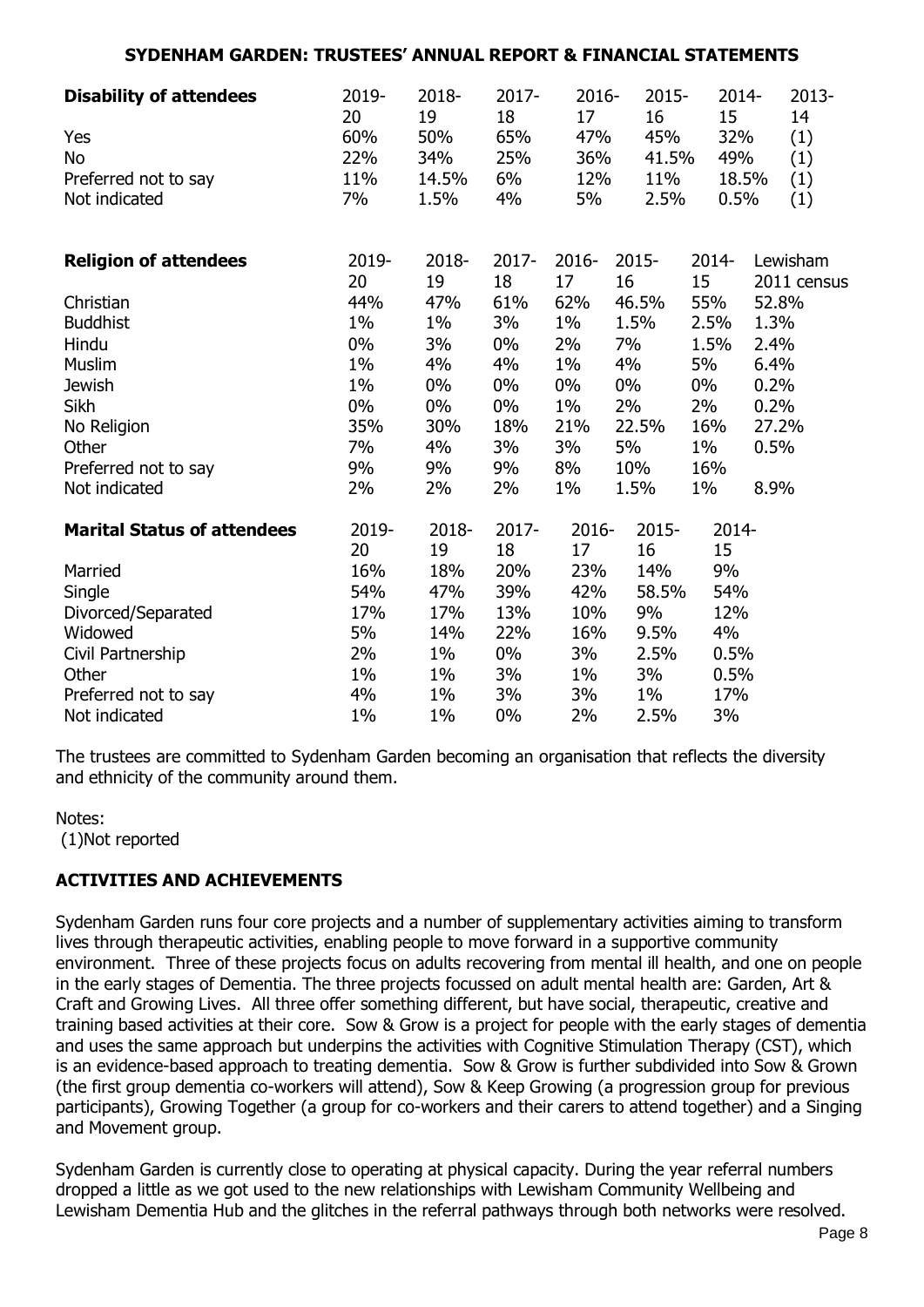| <b>Disability of attendees</b>     | 2019-<br>20 | 2018-<br>19 | 2017-<br>18 | $2016 -$<br>17 | $2015 -$<br>16 | 2014-<br>15 |       | 2013-<br>14 |
|------------------------------------|-------------|-------------|-------------|----------------|----------------|-------------|-------|-------------|
| Yes                                | 60%         | 50%         | 65%         | 47%            | 45%            | 32%         |       | (1)         |
| No                                 | 22%         | 34%         | 25%         | 36%            | 41.5%          | 49%         |       | (1)         |
| Preferred not to say               | 11%         | 14.5%       | 6%          | 12%            | 11%            |             | 18.5% | (1)         |
| Not indicated                      | 7%          | 1.5%        | 4%          | 5%             | 2.5%           | 0.5%        |       | (1)         |
| <b>Religion of attendees</b>       | 2019-       | 2018-       | 2017-       | $2016 -$       | 2015-          | 2014-       |       | Lewisham    |
|                                    | 20          | 19          | 18          | 17             | 16             | 15          |       | 2011 census |
| Christian                          | 44%         | 47%         | 61%         | 62%            | 46.5%          | 55%         |       | 52.8%       |
| <b>Buddhist</b>                    | $1\%$       | $1\%$       | 3%          | $1\%$          | 1.5%           | 2.5%        | 1.3%  |             |
| Hindu                              | 0%          | 3%          | $0\%$       | 2%             | 7%             | 1.5%        | 2.4%  |             |
| Muslim                             | $1\%$       | 4%          | 4%          | $1\%$          | 4%             | 5%          | 6.4%  |             |
| <b>Jewish</b>                      | $1\%$       | $0\%$       | $0\%$       | 0%             | $0\%$          | $0\%$       | 0.2%  |             |
| Sikh                               | $0\%$       | $0\%$       | $0\%$       | $1\%$          | 2%             | 2%          | 0.2%  |             |
| No Religion                        | 35%         | 30%         | 18%         | 21%            | 22.5%          | 16%         |       | 27.2%       |
| Other                              | 7%          | 4%          | 3%          | 3%             | 5%             | $1\%$       | 0.5%  |             |
| Preferred not to say               | 9%          | 9%          | 9%          | 8%             | 10%            | 16%         |       |             |
| Not indicated                      | 2%          | 2%          | 2%          | $1\%$          | 1.5%           | 1%          | 8.9%  |             |
| <b>Marital Status of attendees</b> | 2019-       | 2018-       | $2017 -$    | $2016 -$       | $2015 -$       | 2014-       |       |             |
|                                    | 20          | 19          | 18          | 17             | 16             | 15          |       |             |
| Married                            | 16%         | 18%         | 20%         | 23%            | 14%            | 9%          |       |             |
| Single                             | 54%         | 47%         | 39%         | 42%            | 58.5%          | 54%         |       |             |
| Divorced/Separated                 | 17%         | 17%         | 13%         | 10%            | 9%             | 12%         |       |             |
| Widowed                            | 5%          | 14%         | 22%         | 16%            | 9.5%           | 4%          |       |             |
| Civil Partnership                  | 2%          | $1\%$       | 0%          | 3%             | 2.5%           | 0.5%        |       |             |
| Other                              | $1\%$       | $1\%$       | 3%          | $1\%$          | 3%             | 0.5%        |       |             |
| Preferred not to say               | 4%          | $1\%$       | 3%          | 3%             | $1\%$          | 17%         |       |             |
| Not indicated                      | $1\%$       | 1%          | 0%          | 2%             | 2.5%           | 3%          |       |             |

The trustees are committed to Sydenham Garden becoming an organisation that reflects the diversity and ethnicity of the community around them.

Notes: (1)Not reported

# **ACTIVITIES AND ACHIEVEMENTS**

Sydenham Garden runs four core projects and a number of supplementary activities aiming to transform lives through therapeutic activities, enabling people to move forward in a supportive community environment. Three of these projects focus on adults recovering from mental ill health, and one on people in the early stages of Dementia. The three projects focussed on adult mental health are: Garden, Art & Craft and Growing Lives. All three offer something different, but have social, therapeutic, creative and training based activities at their core. Sow & Grow is a project for people with the early stages of dementia and uses the same approach but underpins the activities with Cognitive Stimulation Therapy (CST), which is an evidence-based approach to treating dementia. Sow & Grow is further subdivided into Sow & Grown (the first group dementia co-workers will attend), Sow & Keep Growing (a progression group for previous participants), Growing Together (a group for co-workers and their carers to attend together) and a Singing and Movement group.

Sydenham Garden is currently close to operating at physical capacity. During the year referral numbers dropped a little as we got used to the new relationships with Lewisham Community Wellbeing and Lewisham Dementia Hub and the glitches in the referral pathways through both networks were resolved.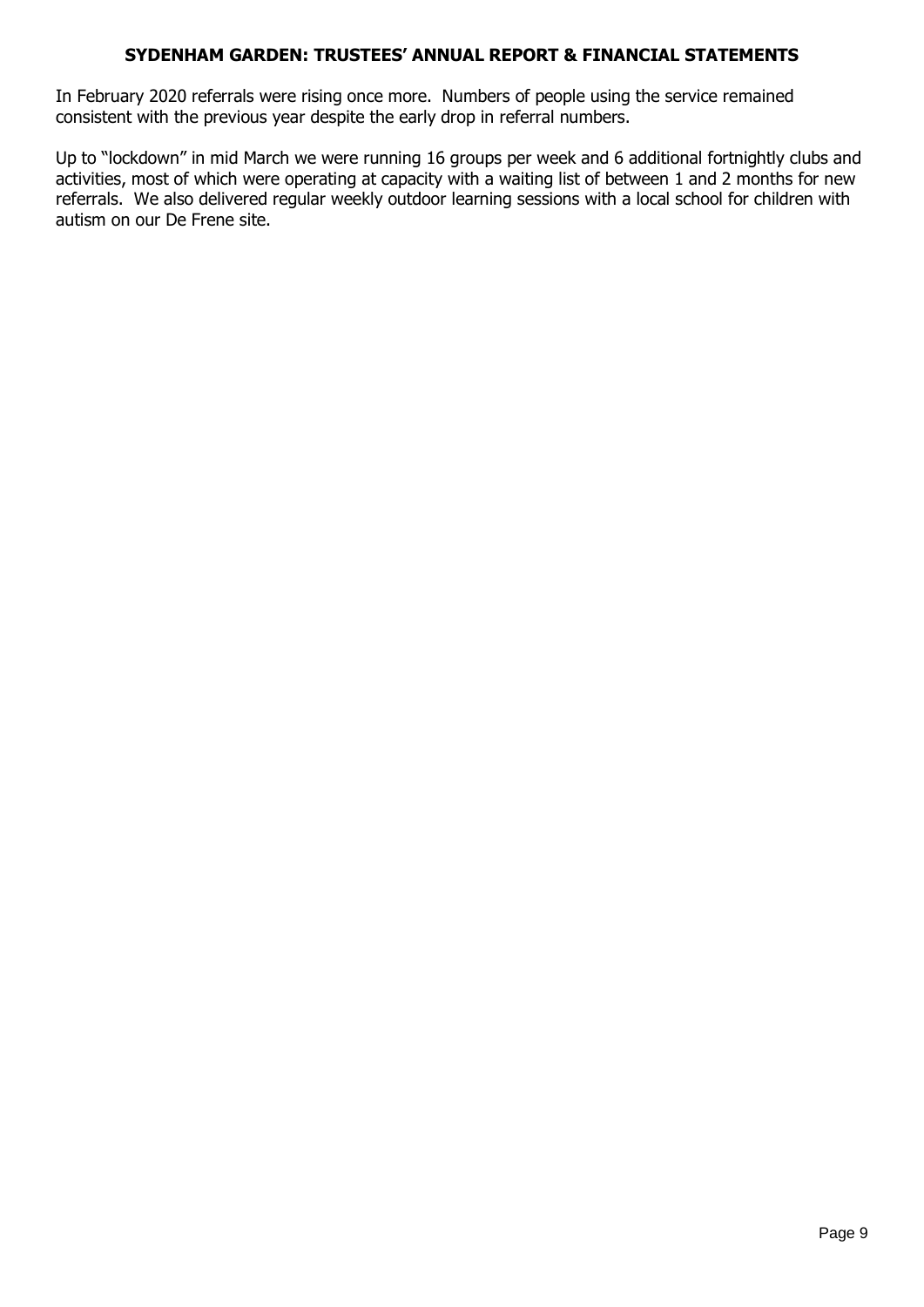In February 2020 referrals were rising once more. Numbers of people using the service remained consistent with the previous year despite the early drop in referral numbers.

Up to "lockdown" in mid March we were running 16 groups per week and 6 additional fortnightly clubs and activities, most of which were operating at capacity with a waiting list of between 1 and 2 months for new referrals. We also delivered regular weekly outdoor learning sessions with a local school for children with autism on our De Frene site.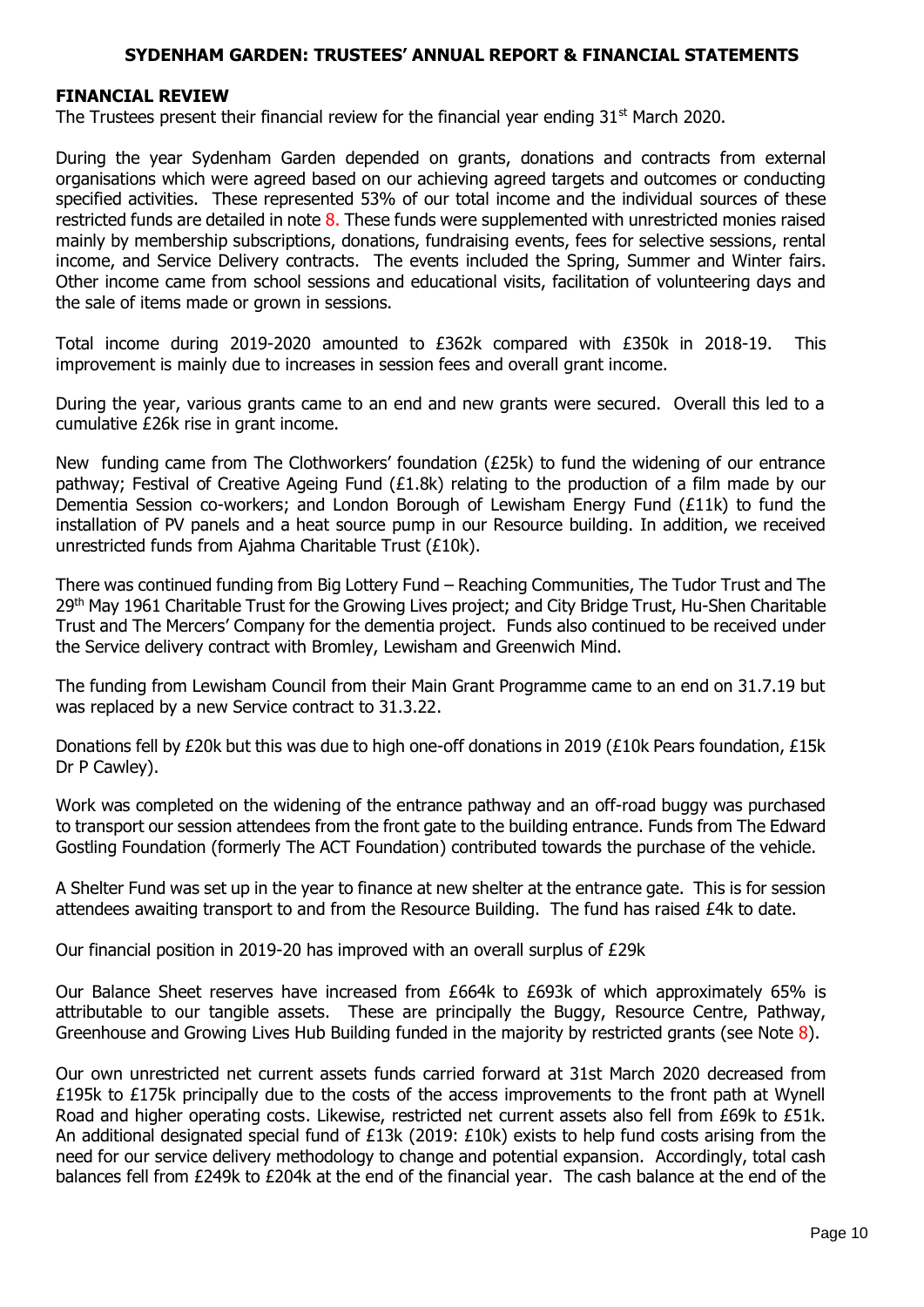#### **FINANCIAL REVIEW**

The Trustees present their financial review for the financial year ending  $31<sup>st</sup>$  March 2020.

During the year Sydenham Garden depended on grants, donations and contracts from external organisations which were agreed based on our achieving agreed targets and outcomes or conducting specified activities. These represented 53% of our total income and the individual sources of these restricted funds are detailed in note 8. These funds were supplemented with unrestricted monies raised mainly by membership subscriptions, donations, fundraising events, fees for selective sessions, rental income, and Service Delivery contracts. The events included the Spring, Summer and Winter fairs. Other income came from school sessions and educational visits, facilitation of volunteering days and the sale of items made or grown in sessions.

Total income during 2019-2020 amounted to £362k compared with £350k in 2018-19. This improvement is mainly due to increases in session fees and overall grant income.

During the year, various grants came to an end and new grants were secured. Overall this led to a cumulative £26k rise in grant income.

New funding came from The Clothworkers' foundation (£25k) to fund the widening of our entrance pathway; Festival of Creative Ageing Fund (£1.8k) relating to the production of a film made by our Dementia Session co-workers; and London Borough of Lewisham Energy Fund (£11k) to fund the installation of PV panels and a heat source pump in our Resource building. In addition, we received unrestricted funds from Ajahma Charitable Trust (£10k).

There was continued funding from Big Lottery Fund – Reaching Communities, The Tudor Trust and The 29<sup>th</sup> May 1961 Charitable Trust for the Growing Lives project; and City Bridge Trust, Hu-Shen Charitable Trust and The Mercers' Company for the dementia project. Funds also continued to be received under the Service delivery contract with Bromley, Lewisham and Greenwich Mind.

The funding from Lewisham Council from their Main Grant Programme came to an end on 31.7.19 but was replaced by a new Service contract to 31.3.22.

Donations fell by £20k but this was due to high one-off donations in 2019 (£10k Pears foundation, £15k Dr P Cawley).

Work was completed on the widening of the entrance pathway and an off-road buggy was purchased to transport our session attendees from the front gate to the building entrance. Funds from The Edward Gostling Foundation (formerly The ACT Foundation) contributed towards the purchase of the vehicle.

A Shelter Fund was set up in the year to finance at new shelter at the entrance gate. This is for session attendees awaiting transport to and from the Resource Building. The fund has raised £4k to date.

Our financial position in 2019-20 has improved with an overall surplus of £29k

Our Balance Sheet reserves have increased from £664k to £693k of which approximately 65% is attributable to our tangible assets. These are principally the Buggy, Resource Centre, Pathway, Greenhouse and Growing Lives Hub Building funded in the majority by restricted grants (see Note 8).

Our own unrestricted net current assets funds carried forward at 31st March 2020 decreased from £195k to £175k principally due to the costs of the access improvements to the front path at Wynell Road and higher operating costs. Likewise, restricted net current assets also fell from £69k to £51k. An additional designated special fund of £13k (2019: £10k) exists to help fund costs arising from the need for our service delivery methodology to change and potential expansion. Accordingly, total cash balances fell from £249k to £204k at the end of the financial year. The cash balance at the end of the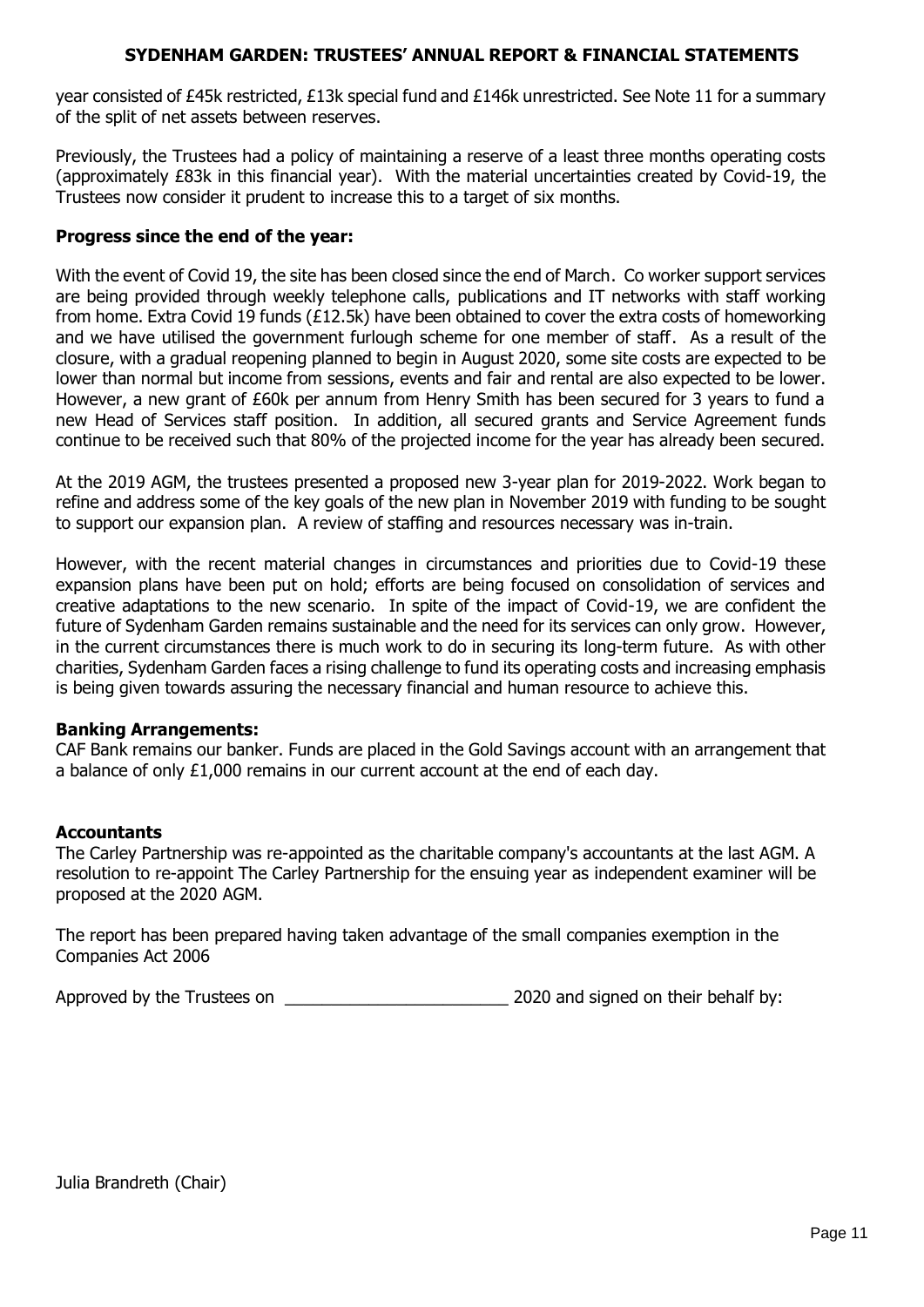year consisted of £45k restricted, £13k special fund and £146k unrestricted. See Note 11 for a summary of the split of net assets between reserves.

Previously, the Trustees had a policy of maintaining a reserve of a least three months operating costs (approximately £83k in this financial year). With the material uncertainties created by Covid-19, the Trustees now consider it prudent to increase this to a target of six months.

#### **Progress since the end of the year:**

With the event of Covid 19, the site has been closed since the end of March. Co worker support services are being provided through weekly telephone calls, publications and IT networks with staff working from home. Extra Covid 19 funds (£12.5k) have been obtained to cover the extra costs of homeworking and we have utilised the government furlough scheme for one member of staff. As a result of the closure, with a gradual reopening planned to begin in August 2020, some site costs are expected to be lower than normal but income from sessions, events and fair and rental are also expected to be lower. However, a new grant of £60k per annum from Henry Smith has been secured for 3 years to fund a new Head of Services staff position. In addition, all secured grants and Service Agreement funds continue to be received such that 80% of the projected income for the year has already been secured.

At the 2019 AGM, the trustees presented a proposed new 3-year plan for 2019-2022. Work began to refine and address some of the key goals of the new plan in November 2019 with funding to be sought to support our expansion plan. A review of staffing and resources necessary was in-train.

However, with the recent material changes in circumstances and priorities due to Covid-19 these expansion plans have been put on hold; efforts are being focused on consolidation of services and creative adaptations to the new scenario. In spite of the impact of Covid-19, we are confident the future of Sydenham Garden remains sustainable and the need for its services can only grow. However, in the current circumstances there is much work to do in securing its long-term future. As with other charities, Sydenham Garden faces a rising challenge to fund its operating costs and increasing emphasis is being given towards assuring the necessary financial and human resource to achieve this.

#### **Banking Arrangements:**

CAF Bank remains our banker. Funds are placed in the Gold Savings account with an arrangement that a balance of only  $£1,000$  remains in our current account at the end of each day.

#### **Accountants**

The Carley Partnership was re-appointed as the charitable company's accountants at the last AGM. A resolution to re-appoint The Carley Partnership for the ensuing year as independent examiner will be proposed at the 2020 AGM.

The report has been prepared having taken advantage of the small companies exemption in the Companies Act 2006

Approved by the Trustees on \_\_\_\_\_\_\_\_\_\_\_\_\_\_\_\_\_\_\_\_\_\_\_\_ 2020 and signed on their behalf by: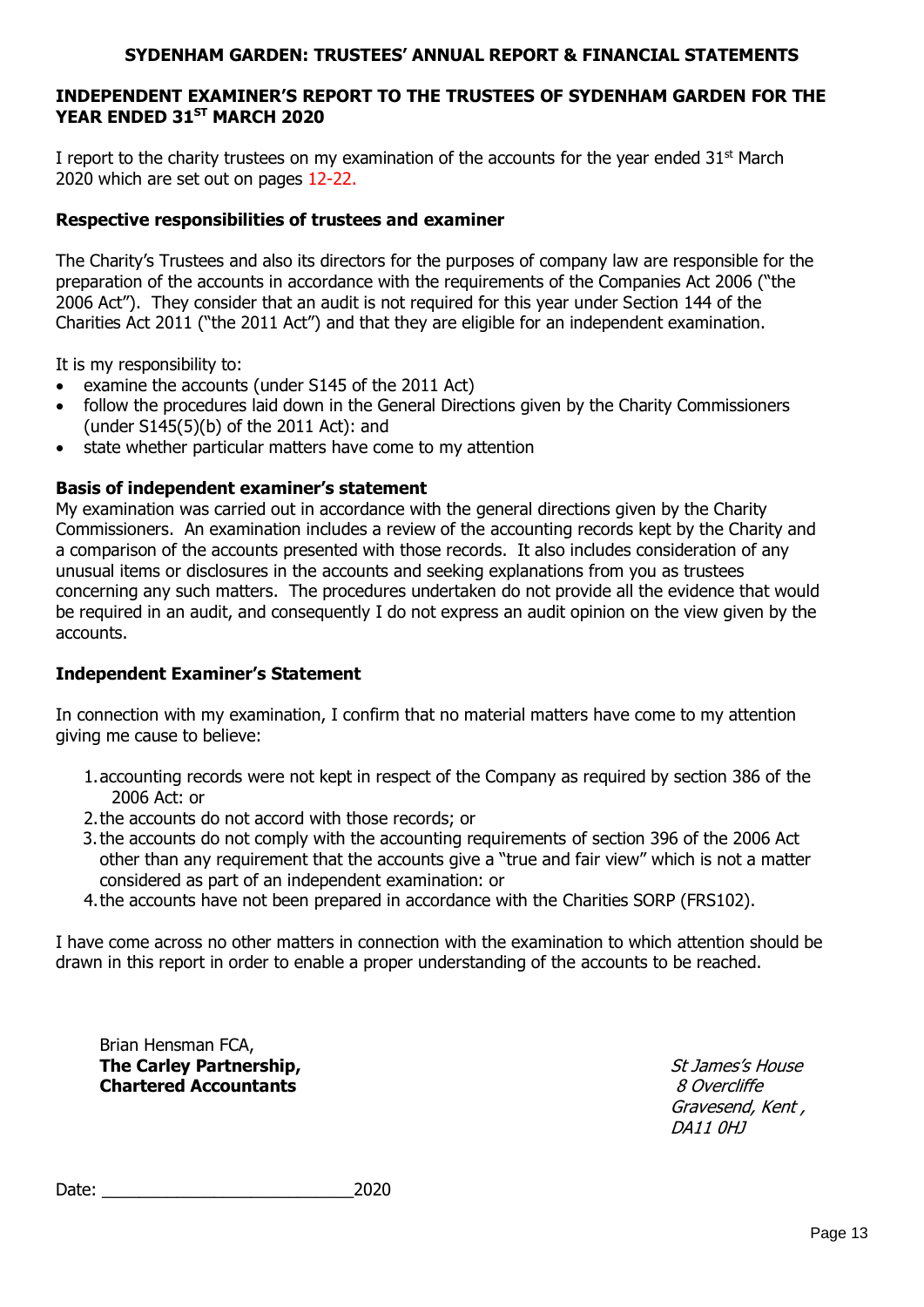## **INDEPENDENT EXAMINER'S REPORT TO THE TRUSTEES OF SYDENHAM GARDEN FOR THE YEAR ENDED 31ST MARCH 2020**

I report to the charity trustees on my examination of the accounts for the year ended  $31<sup>st</sup>$  March 2020 which are set out on pages 12-22.

#### **Respective responsibilities of trustees and examiner**

The Charity's Trustees and also its directors for the purposes of company law are responsible for the preparation of the accounts in accordance with the requirements of the Companies Act 2006 ("the 2006 Act"). They consider that an audit is not required for this year under Section 144 of the Charities Act 2011 ("the 2011 Act") and that they are eligible for an independent examination.

It is my responsibility to:

- examine the accounts (under S145 of the 2011 Act)
- follow the procedures laid down in the General Directions given by the Charity Commissioners (under S145(5)(b) of the 2011 Act): and
- state whether particular matters have come to my attention

## **Basis of independent examiner's statement**

My examination was carried out in accordance with the general directions given by the Charity Commissioners. An examination includes a review of the accounting records kept by the Charity and a comparison of the accounts presented with those records. It also includes consideration of any unusual items or disclosures in the accounts and seeking explanations from you as trustees concerning any such matters. The procedures undertaken do not provide all the evidence that would be required in an audit, and consequently I do not express an audit opinion on the view given by the accounts.

#### **Independent Examiner's Statement**

In connection with my examination, I confirm that no material matters have come to my attention giving me cause to believe:

- 1.accounting records were not kept in respect of the Company as required by section 386 of the 2006 Act: or
- 2.the accounts do not accord with those records; or
- 3.the accounts do not comply with the accounting requirements of section 396 of the 2006 Act other than any requirement that the accounts give a "true and fair view" which is not a matter considered as part of an independent examination: or
- 4.the accounts have not been prepared in accordance with the Charities SORP (FRS102).

I have come across no other matters in connection with the examination to which attention should be drawn in this report in order to enable a proper understanding of the accounts to be reached.

Brian Hensman FCA, **The Carley Partnership,**  St James's House St James's House **Chartered Accountants Chartered Accountants 8** Overcliffe

Gravesend, Kent , DA11 0HJ

Date: 2020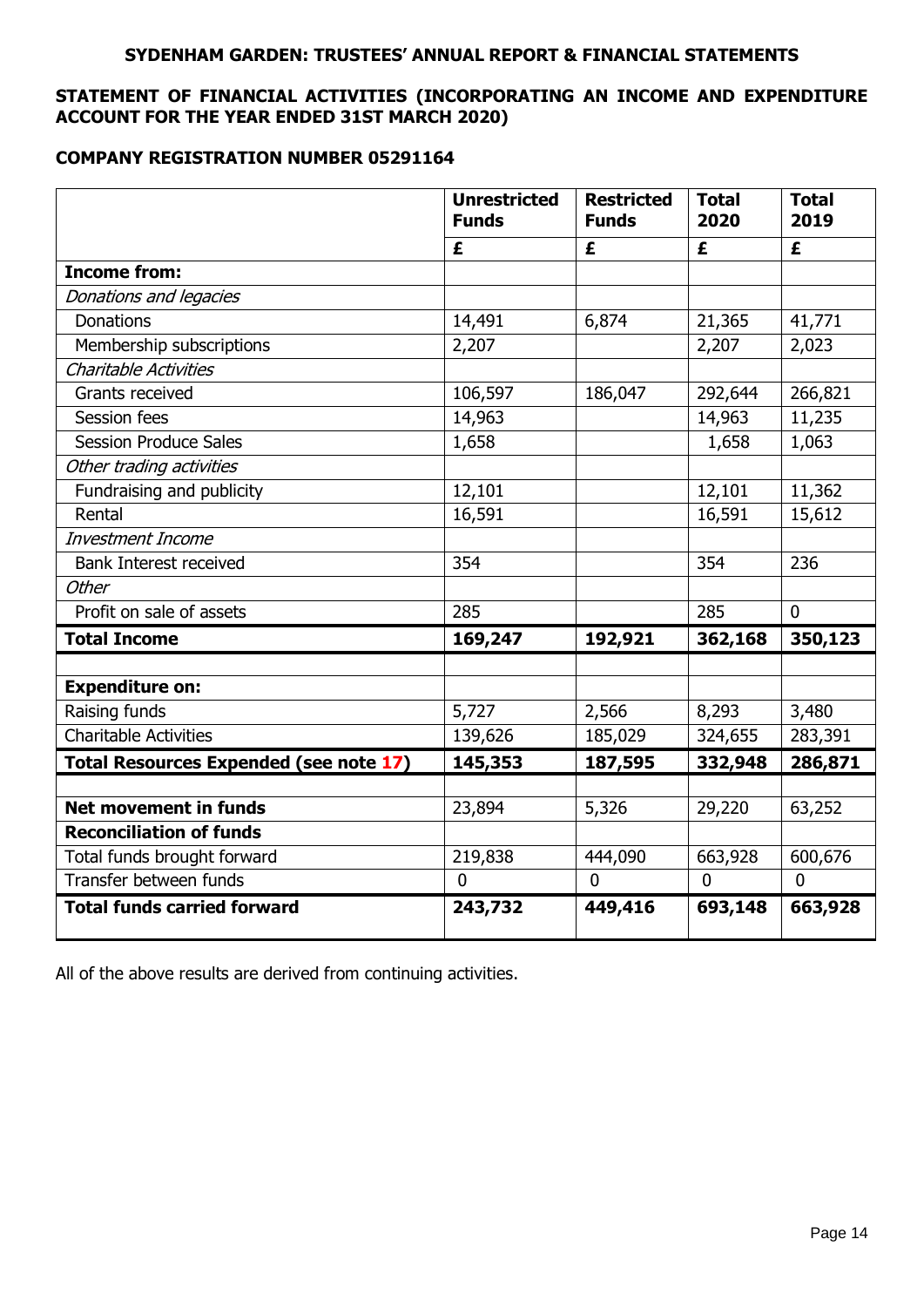# **STATEMENT OF FINANCIAL ACTIVITIES (INCORPORATING AN INCOME AND EXPENDITURE ACCOUNT FOR THE YEAR ENDED 31ST MARCH 2020)**

## **COMPANY REGISTRATION NUMBER 05291164**

|                                               | <b>Unrestricted</b><br><b>Funds</b> | <b>Restricted</b><br><b>Funds</b> | <b>Total</b><br>2020 | <b>Total</b><br>2019 |
|-----------------------------------------------|-------------------------------------|-----------------------------------|----------------------|----------------------|
|                                               | £                                   | £                                 | £                    | £                    |
| <b>Income from:</b>                           |                                     |                                   |                      |                      |
| Donations and legacies                        |                                     |                                   |                      |                      |
| Donations                                     | 14,491                              | 6,874                             | 21,365               | 41,771               |
| Membership subscriptions                      | 2,207                               |                                   | 2,207                | 2,023                |
| <b>Charitable Activities</b>                  |                                     |                                   |                      |                      |
| Grants received                               | 106,597                             | 186,047                           | 292,644              | 266,821              |
| <b>Session fees</b>                           | 14,963                              |                                   | 14,963               | 11,235               |
| <b>Session Produce Sales</b>                  | 1,658                               |                                   | 1,658                | 1,063                |
| Other trading activities                      |                                     |                                   |                      |                      |
| Fundraising and publicity                     | 12,101                              |                                   | 12,101               | 11,362               |
| Rental                                        | 16,591                              |                                   | 16,591               | 15,612               |
| Investment Income                             |                                     |                                   |                      |                      |
| <b>Bank Interest received</b>                 | 354                                 |                                   | 354                  | 236                  |
| <b>Other</b>                                  |                                     |                                   |                      |                      |
| Profit on sale of assets                      | 285                                 |                                   | 285                  | $\mathbf 0$          |
| <b>Total Income</b>                           | 169,247                             | 192,921                           | 362,168              | 350,123              |
| <b>Expenditure on:</b>                        |                                     |                                   |                      |                      |
| Raising funds                                 | 5,727                               | 2,566                             | 8,293                | 3,480                |
| <b>Charitable Activities</b>                  | 139,626                             | 185,029                           | 324,655              | 283,391              |
| <b>Total Resources Expended (see note 17)</b> | 145,353                             | 187,595                           | 332,948              | 286,871              |
|                                               |                                     |                                   |                      |                      |
| <b>Net movement in funds</b>                  | 23,894                              | 5,326                             | 29,220               | 63,252               |
| <b>Reconciliation of funds</b>                |                                     |                                   |                      |                      |
| Total funds brought forward                   | 219,838                             | 444,090                           | 663,928              | 600,676              |
| Transfer between funds                        | $\Omega$                            | $\Omega$                          | $\mathbf 0$          | $\Omega$             |
| <b>Total funds carried forward</b>            | 243,732                             | 449,416                           | 693,148              | 663,928              |

All of the above results are derived from continuing activities.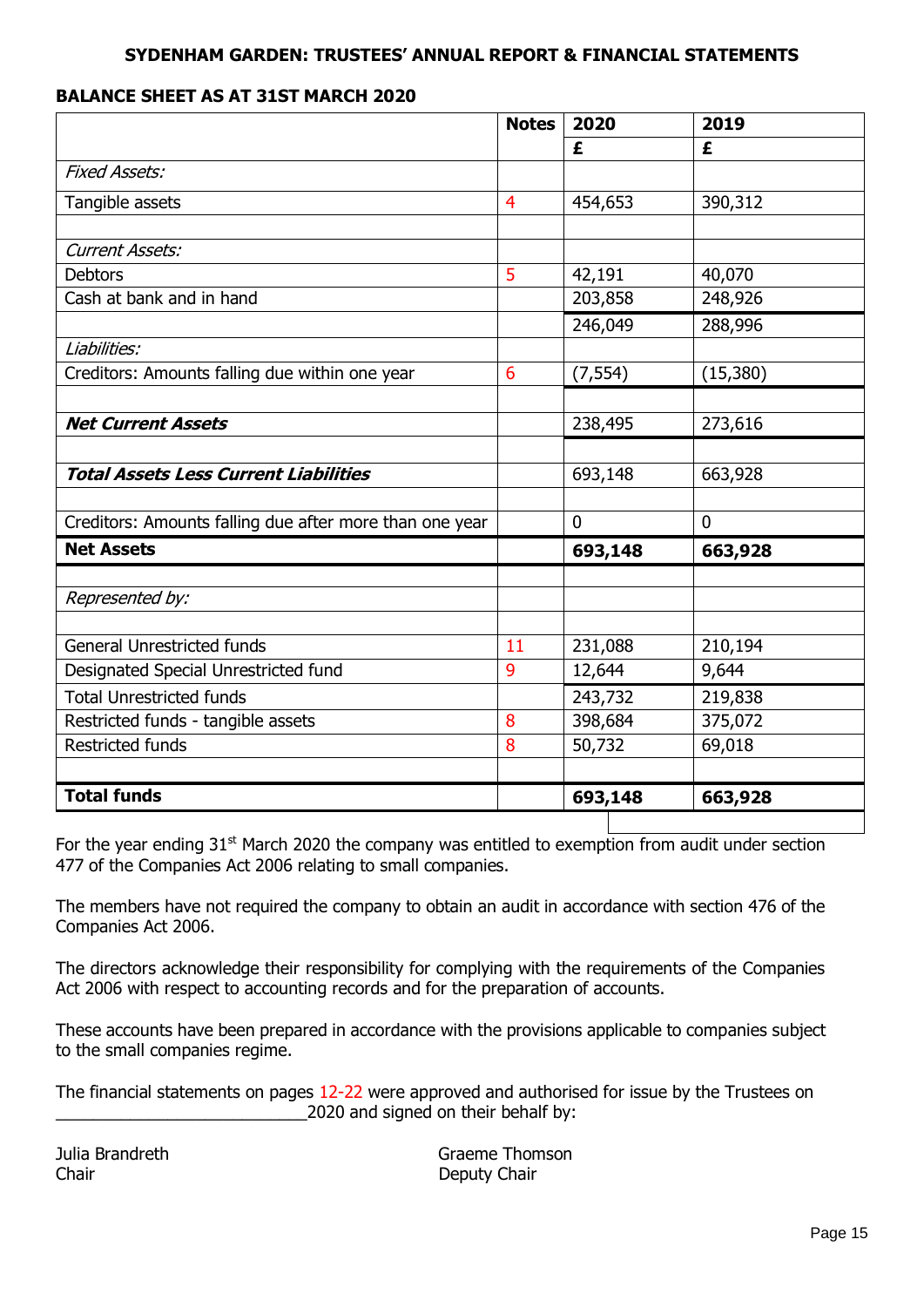## **BALANCE SHEET AS AT 31ST MARCH 2020**

|                                                         | <b>Notes</b>   | 2020        | 2019        |
|---------------------------------------------------------|----------------|-------------|-------------|
|                                                         |                | £           | £           |
| <b>Fixed Assets:</b>                                    |                |             |             |
| Tangible assets                                         | $\overline{4}$ | 454,653     | 390,312     |
|                                                         |                |             |             |
| <b>Current Assets:</b>                                  |                |             |             |
| <b>Debtors</b>                                          | 5              | 42,191      | 40,070      |
| Cash at bank and in hand                                |                | 203,858     | 248,926     |
|                                                         |                | 246,049     | 288,996     |
| Liabilities:                                            |                |             |             |
| Creditors: Amounts falling due within one year          | 6              | (7, 554)    | (15,380)    |
|                                                         |                |             |             |
| <b>Net Current Assets</b>                               |                | 238,495     | 273,616     |
|                                                         |                |             |             |
| <b>Total Assets Less Current Liabilities</b>            |                | 693,148     | 663,928     |
|                                                         |                | $\mathbf 0$ | $\mathbf 0$ |
| Creditors: Amounts falling due after more than one year |                |             |             |
| <b>Net Assets</b>                                       |                | 693,148     | 663,928     |
| Represented by:                                         |                |             |             |
|                                                         |                |             |             |
| <b>General Unrestricted funds</b>                       | 11             | 231,088     | 210,194     |
| Designated Special Unrestricted fund                    | 9              | 12,644      | 9,644       |
| <b>Total Unrestricted funds</b>                         |                | 243,732     | 219,838     |
| Restricted funds - tangible assets                      | 8              | 398,684     | 375,072     |
| <b>Restricted funds</b>                                 | 8              | 50,732      | 69,018      |
|                                                         |                |             |             |
| <b>Total funds</b>                                      |                | 693,148     | 663,928     |

For the year ending 31<sup>st</sup> March 2020 the company was entitled to exemption from audit under section 477 of the Companies Act 2006 relating to small companies.

The members have not required the company to obtain an audit in accordance with section 476 of the Companies Act 2006.

The directors acknowledge their responsibility for complying with the requirements of the Companies Act 2006 with respect to accounting records and for the preparation of accounts.

These accounts have been prepared in accordance with the provisions applicable to companies subject to the small companies regime.

The financial statements on pages 12-22 were approved and authorised for issue by the Trustees on 2020 and signed on their behalf by:

Chair **Deputy Chair** Deputy Chair

Julia Brandreth Graeme Thomson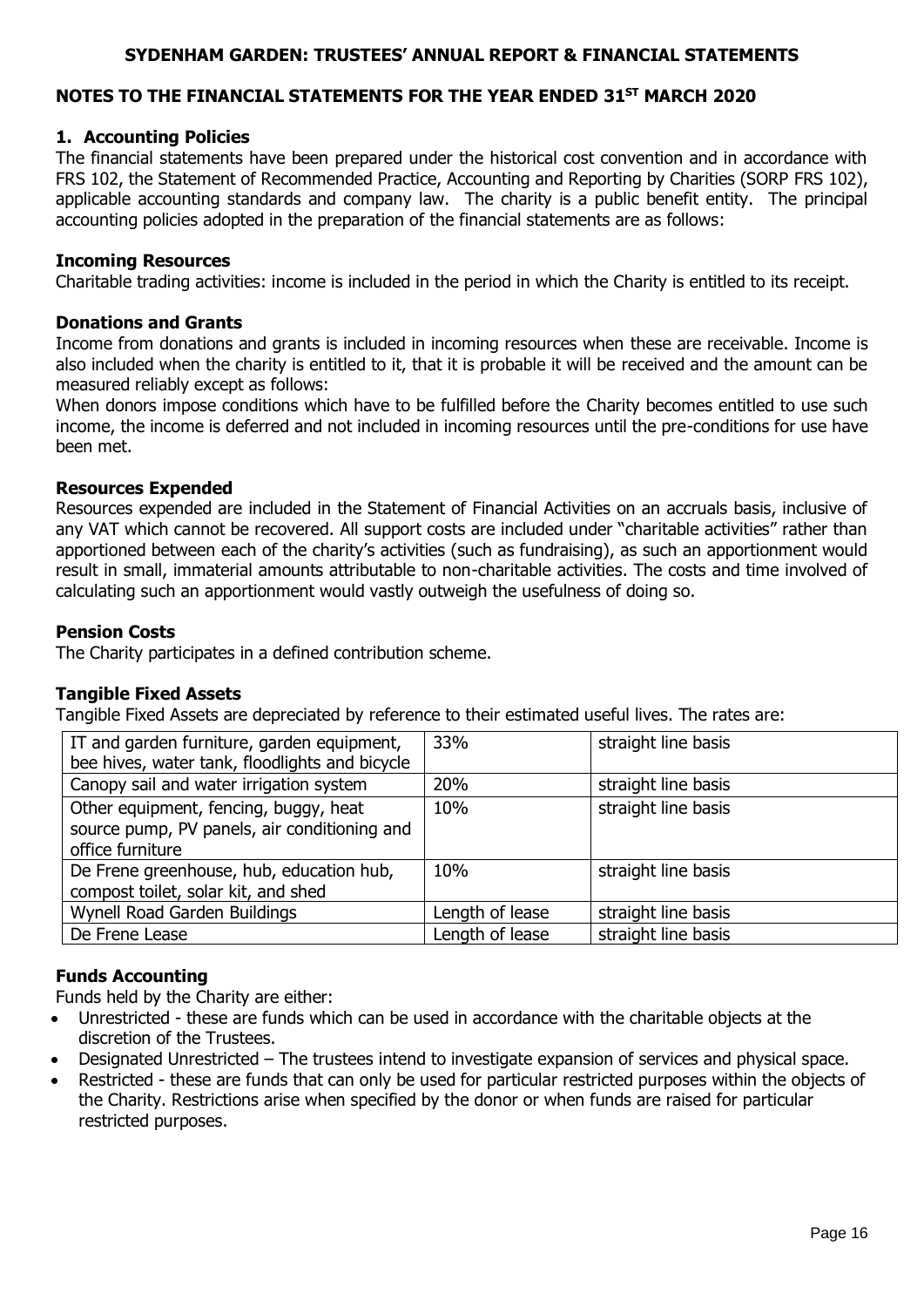## **NOTES TO THE FINANCIAL STATEMENTS FOR THE YEAR ENDED 31ST MARCH 2020**

#### **1. Accounting Policies**

The financial statements have been prepared under the historical cost convention and in accordance with FRS 102, the Statement of Recommended Practice, Accounting and Reporting by Charities (SORP FRS 102), applicable accounting standards and company law. The charity is a public benefit entity. The principal accounting policies adopted in the preparation of the financial statements are as follows:

#### **Incoming Resources**

Charitable trading activities: income is included in the period in which the Charity is entitled to its receipt.

#### **Donations and Grants**

Income from donations and grants is included in incoming resources when these are receivable. Income is also included when the charity is entitled to it, that it is probable it will be received and the amount can be measured reliably except as follows:

When donors impose conditions which have to be fulfilled before the Charity becomes entitled to use such income, the income is deferred and not included in incoming resources until the pre-conditions for use have been met.

#### **Resources Expended**

Resources expended are included in the Statement of Financial Activities on an accruals basis, inclusive of any VAT which cannot be recovered. All support costs are included under "charitable activities" rather than apportioned between each of the charity's activities (such as fundraising), as such an apportionment would result in small, immaterial amounts attributable to non-charitable activities. The costs and time involved of calculating such an apportionment would vastly outweigh the usefulness of doing so.

#### **Pension Costs**

The Charity participates in a defined contribution scheme.

#### **Tangible Fixed Assets**

Tangible Fixed Assets are depreciated by reference to their estimated useful lives. The rates are:

| IT and garden furniture, garden equipment,     | 33%             | straight line basis |
|------------------------------------------------|-----------------|---------------------|
| bee hives, water tank, floodlights and bicycle |                 |                     |
| Canopy sail and water irrigation system        | 20%             | straight line basis |
| Other equipment, fencing, buggy, heat          | 10%             | straight line basis |
| source pump, PV panels, air conditioning and   |                 |                     |
| office furniture                               |                 |                     |
| De Frene greenhouse, hub, education hub,       | 10%             | straight line basis |
| compost toilet, solar kit, and shed            |                 |                     |
| Wynell Road Garden Buildings                   | Length of lease | straight line basis |
| De Frene Lease                                 | Length of lease | straight line basis |

#### **Funds Accounting**

Funds held by the Charity are either:

- Unrestricted these are funds which can be used in accordance with the charitable objects at the discretion of the Trustees.
- Designated Unrestricted The trustees intend to investigate expansion of services and physical space.
- Restricted these are funds that can only be used for particular restricted purposes within the objects of the Charity. Restrictions arise when specified by the donor or when funds are raised for particular restricted purposes.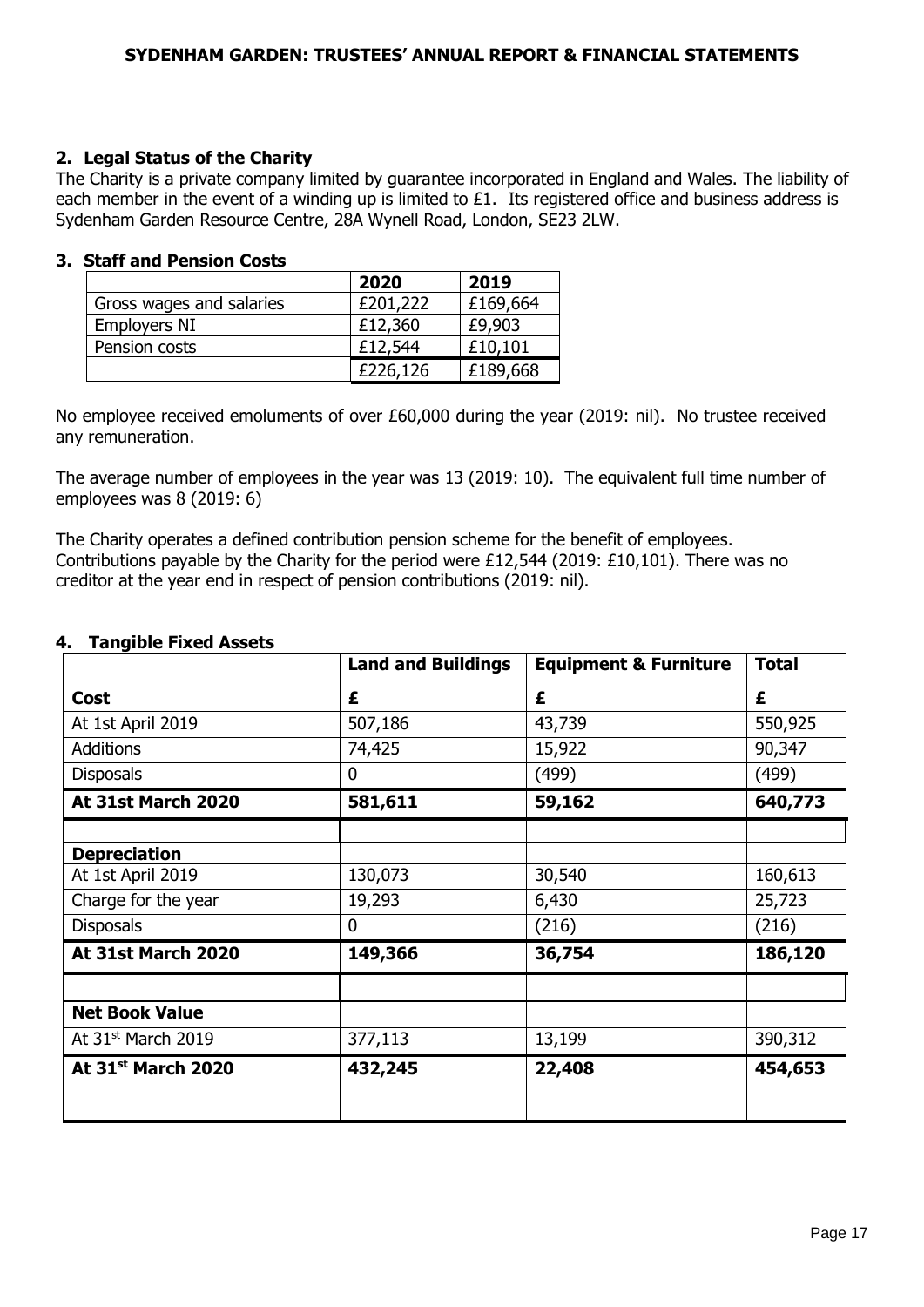#### **2. Legal Status of the Charity**

The Charity is a private company limited by guarantee incorporated in England and Wales. The liability of each member in the event of a winding up is limited to £1. Its registered office and business address is Sydenham Garden Resource Centre, 28A Wynell Road, London, SE23 2LW.

#### **3. Staff and Pension Costs**

|                          | 2020     | 2019     |
|--------------------------|----------|----------|
| Gross wages and salaries | £201,222 | £169,664 |
| Employers NI             | £12,360  | £9,903   |
| Pension costs            | £12,544  | £10,101  |
|                          | £226,126 | £189,668 |

No employee received emoluments of over £60,000 during the year (2019: nil). No trustee received any remuneration.

The average number of employees in the year was 13 (2019: 10). The equivalent full time number of employees was 8 (2019: 6)

The Charity operates a defined contribution pension scheme for the benefit of employees. Contributions payable by the Charity for the period were £12,544 (2019: £10,101). There was no creditor at the year end in respect of pension contributions (2019: nil).

| בטטפא האדו טעווען     | <b>Land and Buildings</b> | <b>Equipment &amp; Furniture</b> | <b>Total</b> |
|-----------------------|---------------------------|----------------------------------|--------------|
| <b>Cost</b>           | £                         | £                                | £            |
| At 1st April 2019     | 507,186                   | 43,739                           | 550,925      |
| <b>Additions</b>      | 74,425                    | 15,922                           | 90,347       |
| <b>Disposals</b>      | $\mathbf 0$               | (499)                            | (499)        |
| At 31st March 2020    | 581,611                   | 59,162                           | 640,773      |
|                       |                           |                                  |              |
| <b>Depreciation</b>   |                           |                                  |              |
| At 1st April 2019     | 130,073                   | 30,540                           | 160,613      |
| Charge for the year   | 19,293                    | 6,430                            | 25,723       |
| <b>Disposals</b>      | $\mathbf 0$               | (216)                            | (216)        |
| At 31st March 2020    | 149,366                   | 36,754                           | 186,120      |
|                       |                           |                                  |              |
| <b>Net Book Value</b> |                           |                                  |              |
| At 31st March 2019    | 377,113                   | 13,199                           | 390,312      |
| At 31st March 2020    | 432,245                   | 22,408                           | 454,653      |

#### **4. Tangible Fixed Assets**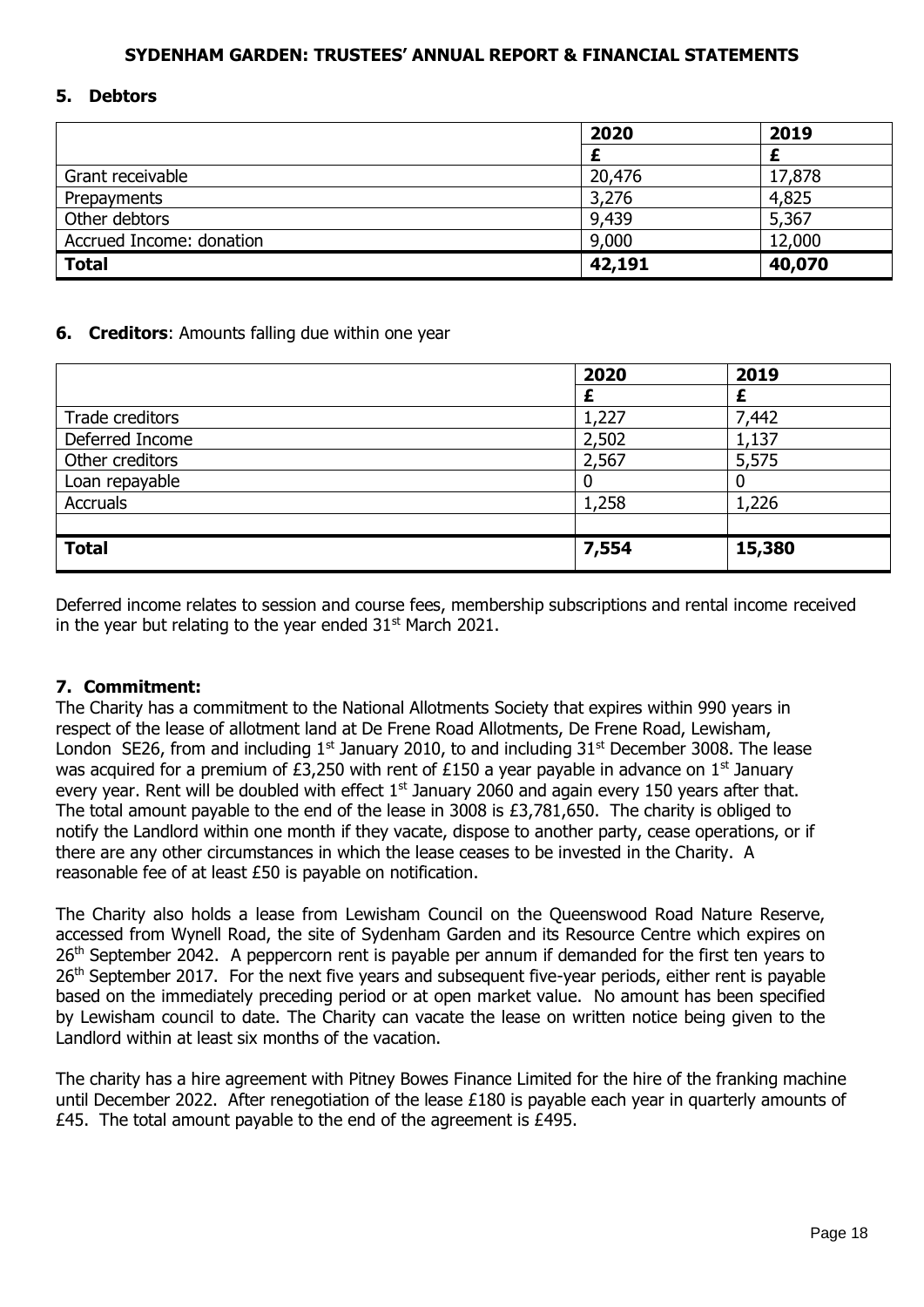#### **5. Debtors**

|                          | 2020   | 2019   |
|--------------------------|--------|--------|
|                          |        |        |
| Grant receivable         | 20,476 | 17,878 |
| Prepayments              | 3,276  | 4,825  |
| Other debtors            | 9,439  | 5,367  |
| Accrued Income: donation | 9,000  | 12,000 |
| <b>Total</b>             | 42,191 | 40,070 |

#### **6. Creditors**: Amounts falling due within one year

|                 | 2020  | 2019   |
|-----------------|-------|--------|
|                 |       |        |
| Trade creditors | 1,227 | 7,442  |
| Deferred Income | 2,502 | 1,137  |
| Other creditors | 2,567 | 5,575  |
| Loan repayable  |       |        |
| <b>Accruals</b> | 1,258 | 1,226  |
|                 |       |        |
| <b>Total</b>    | 7,554 | 15,380 |

Deferred income relates to session and course fees, membership subscriptions and rental income received in the year but relating to the year ended  $31<sup>st</sup>$  March 2021.

#### **7. Commitment:**

The Charity has a commitment to the National Allotments Society that expires within 990 years in respect of the lease of allotment land at De Frene Road Allotments, De Frene Road, Lewisham, London SE26, from and including  $1^{st}$  January 2010, to and including  $31^{st}$  December 3008. The lease was acquired for a premium of £3,250 with rent of £150 a year payable in advance on  $1<sup>st</sup>$  January every year. Rent will be doubled with effect 1<sup>st</sup> January 2060 and again every 150 years after that. The total amount payable to the end of the lease in 3008 is £3,781,650. The charity is obliged to notify the Landlord within one month if they vacate, dispose to another party, cease operations, or if there are any other circumstances in which the lease ceases to be invested in the Charity. A reasonable fee of at least £50 is payable on notification.

The Charity also holds a lease from Lewisham Council on the Queenswood Road Nature Reserve, accessed from Wynell Road, the site of Sydenham Garden and its Resource Centre which expires on 26<sup>th</sup> September 2042. A peppercorn rent is payable per annum if demanded for the first ten years to 26<sup>th</sup> September 2017. For the next five years and subsequent five-year periods, either rent is payable based on the immediately preceding period or at open market value. No amount has been specified by Lewisham council to date. The Charity can vacate the lease on written notice being given to the Landlord within at least six months of the vacation.

The charity has a hire agreement with Pitney Bowes Finance Limited for the hire of the franking machine until December 2022. After renegotiation of the lease £180 is payable each year in quarterly amounts of £45. The total amount payable to the end of the agreement is £495.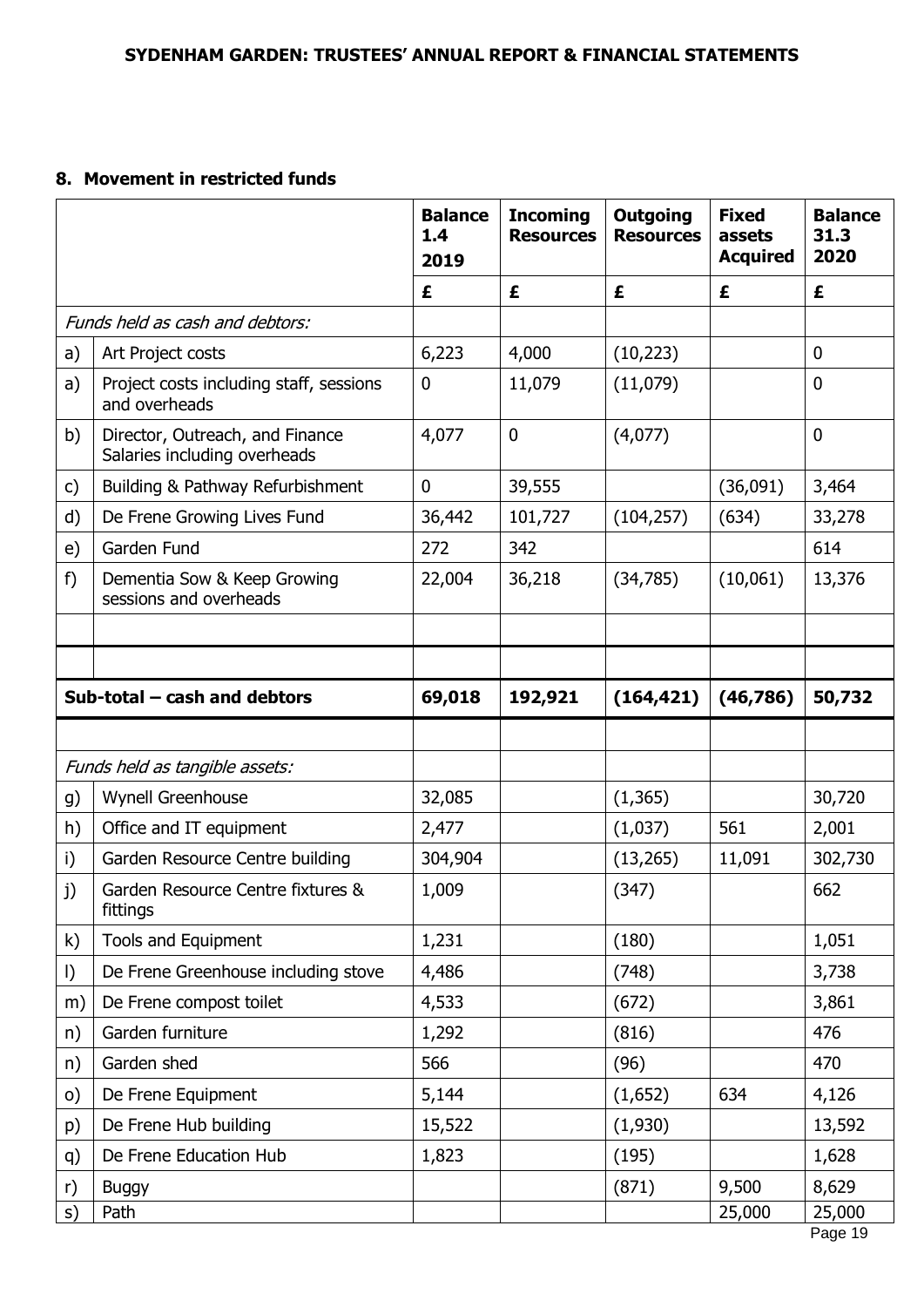# **8. Movement in restricted funds**

|           |                                                                 | <b>Balance</b><br>1.4<br>2019 | <b>Incoming</b><br><b>Resources</b> | <b>Outgoing</b><br><b>Resources</b> | <b>Fixed</b><br>assets<br><b>Acquired</b> | <b>Balance</b><br>31.3<br>2020 |
|-----------|-----------------------------------------------------------------|-------------------------------|-------------------------------------|-------------------------------------|-------------------------------------------|--------------------------------|
|           |                                                                 | £                             | £                                   | £                                   | £                                         | £                              |
|           | Funds held as cash and debtors:                                 |                               |                                     |                                     |                                           |                                |
| a)        | Art Project costs                                               | 6,223                         | 4,000                               | (10, 223)                           |                                           | $\mathbf 0$                    |
| a)        | Project costs including staff, sessions<br>and overheads        | 0                             | 11,079                              | (11,079)                            |                                           | $\mathbf 0$                    |
| b)        | Director, Outreach, and Finance<br>Salaries including overheads | 4,077                         | $\mathbf 0$                         | (4,077)                             |                                           | $\mathbf 0$                    |
| c)        | Building & Pathway Refurbishment                                | 0                             | 39,555                              |                                     | (36,091)                                  | 3,464                          |
| d)        | De Frene Growing Lives Fund                                     | 36,442                        | 101,727                             | (104, 257)                          | (634)                                     | 33,278                         |
| e)        | Garden Fund                                                     | 272                           | 342                                 |                                     |                                           | 614                            |
| $f$ )     | Dementia Sow & Keep Growing<br>sessions and overheads           | 22,004                        | 36,218                              | (34,785)                            | (10,061)                                  | 13,376                         |
|           |                                                                 |                               |                                     |                                     |                                           |                                |
|           |                                                                 |                               |                                     |                                     |                                           |                                |
|           | Sub-total $-$ cash and debtors                                  | 69,018                        | 192,921                             | (164, 421)                          | (46, 786)                                 | 50,732                         |
|           |                                                                 |                               |                                     |                                     |                                           |                                |
|           | Funds held as tangible assets:                                  |                               |                                     |                                     |                                           |                                |
| g)        | Wynell Greenhouse                                               | 32,085                        |                                     | (1, 365)                            |                                           | 30,720                         |
| h)        | Office and IT equipment                                         | 2,477                         |                                     | (1,037)                             | 561                                       | 2,001                          |
| i)        | Garden Resource Centre building                                 | 304,904                       |                                     | (13, 265)                           | 11,091                                    | 302,730                        |
| j)        | Garden Resource Centre fixtures &<br>fittings                   | 1,009                         |                                     | (347)                               |                                           | 662                            |
| k)        | Tools and Equipment                                             | 1,231                         |                                     | (180)                               |                                           | 1,051                          |
| $\vert$ ) | De Frene Greenhouse including stove                             | 4,486                         |                                     | (748)                               |                                           | 3,738                          |
| m)        | De Frene compost toilet                                         | 4,533                         |                                     | (672)                               |                                           | 3,861                          |
| n)        | Garden furniture                                                | 1,292                         |                                     | (816)                               |                                           | 476                            |
| n)        | Garden shed                                                     | 566                           |                                     | (96)                                |                                           | 470                            |
| $\circ)$  | De Frene Equipment                                              | 5,144                         |                                     | (1,652)                             | 634                                       | 4,126                          |
| p)        | De Frene Hub building                                           | 15,522                        |                                     | (1,930)                             |                                           | 13,592                         |
| q)        | De Frene Education Hub                                          | 1,823                         |                                     | (195)                               |                                           | 1,628                          |
| r)        | <b>Buggy</b>                                                    |                               |                                     | (871)                               | 9,500                                     | 8,629                          |
| S)        | Path                                                            |                               |                                     |                                     | 25,000                                    | 25,000<br>Page 19              |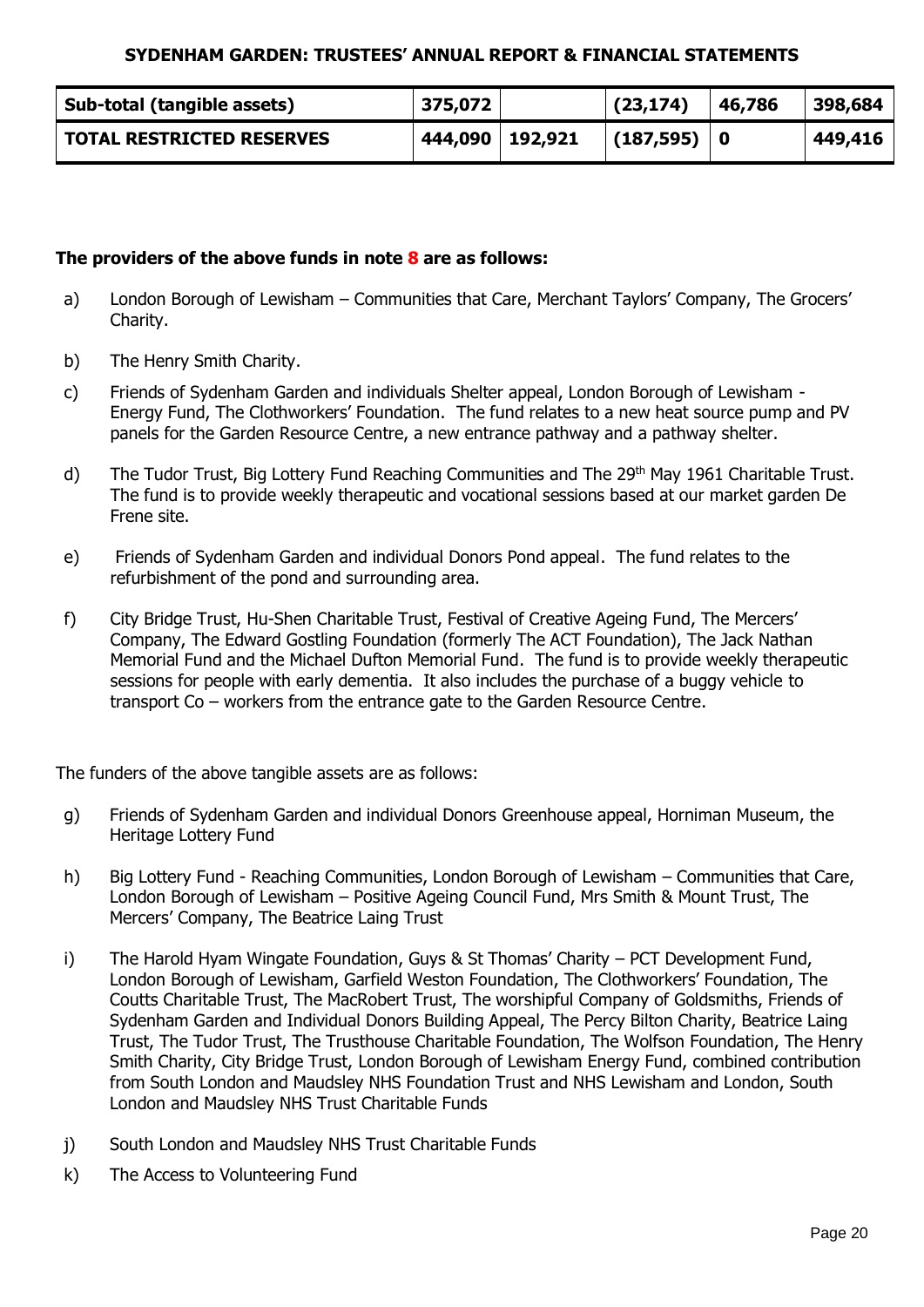| Sub-total (tangible assets)      | 375,072           | (23, 174)   | 46,786 | 398,684 |
|----------------------------------|-------------------|-------------|--------|---------|
| <b>TOTAL RESTRICTED RESERVES</b> | 444,090   192,921 | (187,595) 0 |        | 449,416 |

## **The providers of the above funds in note 8 are as follows:**

- a) London Borough of Lewisham Communities that Care, Merchant Taylors' Company, The Grocers' Charity.
- b) The Henry Smith Charity.
- c) Friends of Sydenham Garden and individuals Shelter appeal, London Borough of Lewisham Energy Fund, The Clothworkers' Foundation. The fund relates to a new heat source pump and PV panels for the Garden Resource Centre, a new entrance pathway and a pathway shelter.
- d) The Tudor Trust, Big Lottery Fund Reaching Communities and The 29<sup>th</sup> May 1961 Charitable Trust. The fund is to provide weekly therapeutic and vocational sessions based at our market garden De Frene site.
- e) Friends of Sydenham Garden and individual Donors Pond appeal. The fund relates to the refurbishment of the pond and surrounding area.
- f) City Bridge Trust, Hu-Shen Charitable Trust, Festival of Creative Ageing Fund, The Mercers' Company, The Edward Gostling Foundation (formerly The ACT Foundation), The Jack Nathan Memorial Fund and the Michael Dufton Memorial Fund. The fund is to provide weekly therapeutic sessions for people with early dementia. It also includes the purchase of a buggy vehicle to transport Co – workers from the entrance gate to the Garden Resource Centre.

The funders of the above tangible assets are as follows:

- g) Friends of Sydenham Garden and individual Donors Greenhouse appeal, Horniman Museum, the Heritage Lottery Fund
- h) Big Lottery Fund Reaching Communities, London Borough of Lewisham Communities that Care, London Borough of Lewisham – Positive Ageing Council Fund, Mrs Smith & Mount Trust, The Mercers' Company, The Beatrice Laing Trust
- i) The Harold Hyam Wingate Foundation, Guys & St Thomas' Charity PCT Development Fund, London Borough of Lewisham, Garfield Weston Foundation, The Clothworkers' Foundation, The Coutts Charitable Trust, The MacRobert Trust, The worshipful Company of Goldsmiths, Friends of Sydenham Garden and Individual Donors Building Appeal, The Percy Bilton Charity, Beatrice Laing Trust, The Tudor Trust, The Trusthouse Charitable Foundation, The Wolfson Foundation, The Henry Smith Charity, City Bridge Trust, London Borough of Lewisham Energy Fund, combined contribution from South London and Maudsley NHS Foundation Trust and NHS Lewisham and London, South London and Maudsley NHS Trust Charitable Funds
- j) South London and Maudsley NHS Trust Charitable Funds
- k) The Access to Volunteering Fund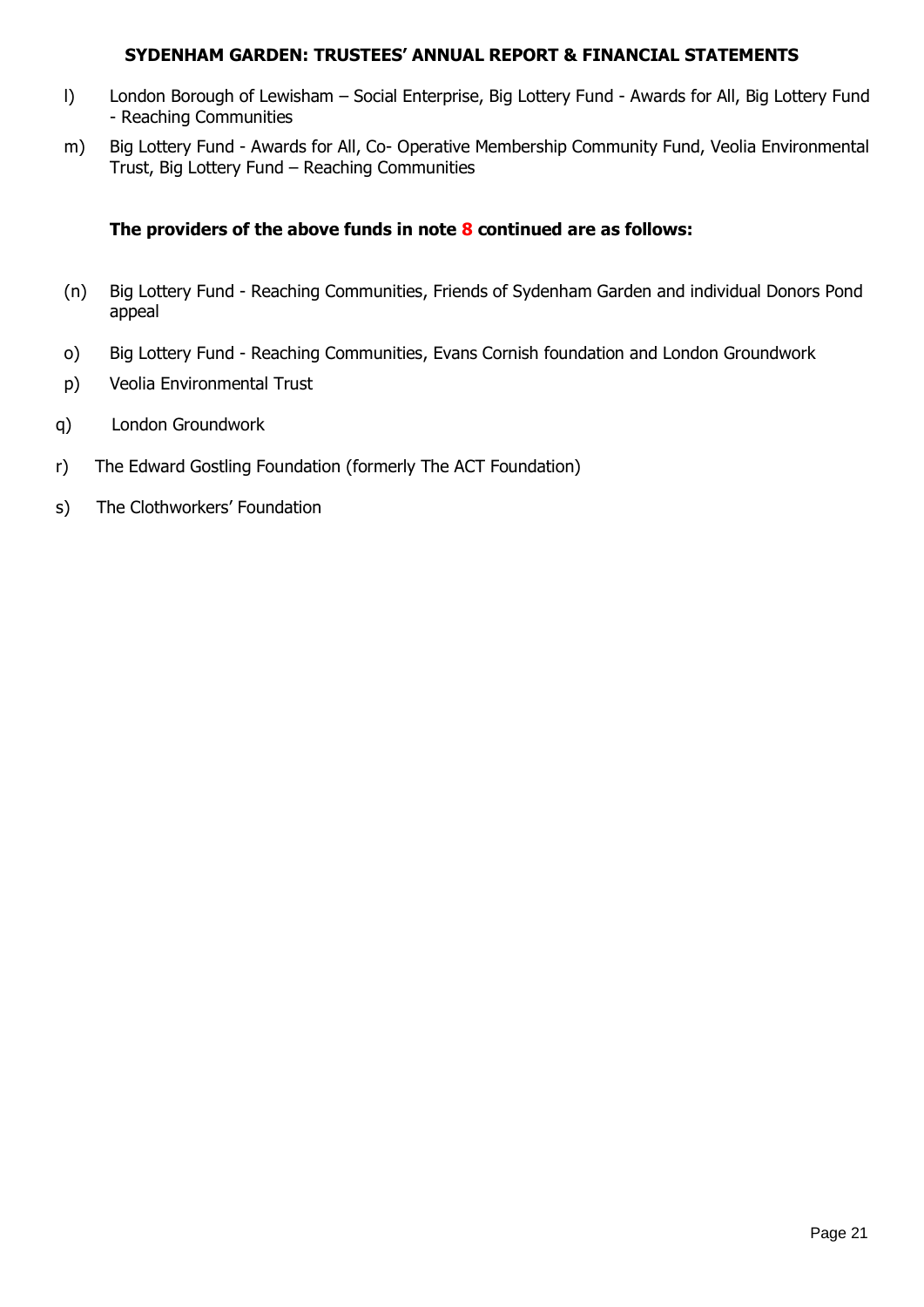- l) London Borough of Lewisham Social Enterprise, Big Lottery Fund Awards for All, Big Lottery Fund - Reaching Communities
- m) Big Lottery Fund Awards for All, Co- Operative Membership Community Fund, Veolia Environmental Trust, Big Lottery Fund – Reaching Communities

## **The providers of the above funds in note 8 continued are as follows:**

- (n) Big Lottery Fund Reaching Communities, Friends of Sydenham Garden and individual Donors Pond appeal
- o) Big Lottery Fund Reaching Communities, Evans Cornish foundation and London Groundwork
- p) Veolia Environmental Trust
- q) London Groundwork
- r) The Edward Gostling Foundation (formerly The ACT Foundation)
- s) The Clothworkers' Foundation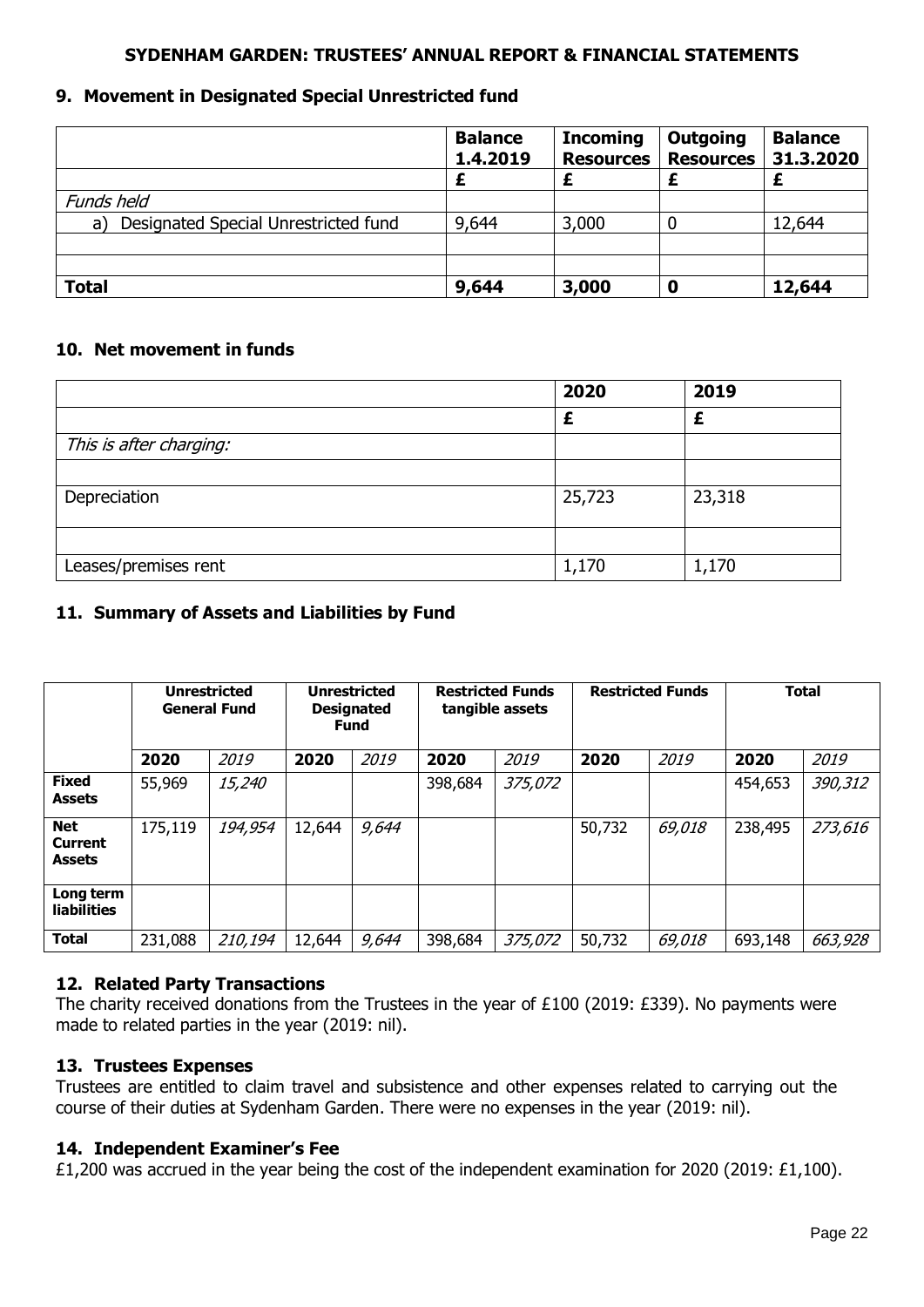## **9. Movement in Designated Special Unrestricted fund**

|                                            | <b>Balance</b><br>1.4.2019 | <b>Incoming</b><br><b>Resources</b> | <b>Outgoing</b><br><b>Resources</b> | <b>Balance</b><br>31.3.2020 |
|--------------------------------------------|----------------------------|-------------------------------------|-------------------------------------|-----------------------------|
|                                            |                            |                                     |                                     |                             |
| Funds held                                 |                            |                                     |                                     |                             |
| Designated Special Unrestricted fund<br>a) | 9,644                      | 3,000                               | 0                                   | 12,644                      |
|                                            |                            |                                     |                                     |                             |
|                                            |                            |                                     |                                     |                             |
| <b>Total</b>                               | 9,644                      | 3,000                               | 0                                   | 12,644                      |

## **10. Net movement in funds**

|                         | 2020   | 2019   |
|-------------------------|--------|--------|
|                         |        |        |
| This is after charging: |        |        |
|                         |        |        |
| Depreciation            | 25,723 | 23,318 |
|                         |        |        |
| Leases/premises rent    | 1,170  | 1,170  |

# **11. Summary of Assets and Liabilities by Fund**

|                                               | <b>Unrestricted</b><br><b>General Fund</b> |         | <b>Unrestricted</b><br><b>Designated</b><br><b>Fund</b> |       | <b>Restricted Funds</b><br>tangible assets |         | <b>Restricted Funds</b> |        | <b>Total</b> |         |
|-----------------------------------------------|--------------------------------------------|---------|---------------------------------------------------------|-------|--------------------------------------------|---------|-------------------------|--------|--------------|---------|
|                                               | 2020                                       | 2019    | 2020                                                    | 2019  | 2020                                       | 2019    | 2020                    | 2019   | 2020         | 2019    |
| <b>Fixed</b><br><b>Assets</b>                 | 55,969                                     | 15,240  |                                                         |       | 398,684                                    | 375,072 |                         |        | 454,653      | 390,312 |
| <b>Net</b><br><b>Current</b><br><b>Assets</b> | 175,119                                    | 194,954 | 12,644                                                  | 9,644 |                                            |         | 50,732                  | 69,018 | 238,495      | 273,616 |
| Long term<br><b>liabilities</b>               |                                            |         |                                                         |       |                                            |         |                         |        |              |         |
| <b>Total</b>                                  | 231,088                                    | 210,194 | 12,644                                                  | 9,644 | 398,684                                    | 375,072 | 50,732                  | 69,018 | 693,148      | 663,928 |

## **12. Related Party Transactions**

The charity received donations from the Trustees in the year of £100 (2019: £339). No payments were made to related parties in the year (2019: nil).

#### **13. Trustees Expenses**

Trustees are entitled to claim travel and subsistence and other expenses related to carrying out the course of their duties at Sydenham Garden. There were no expenses in the year (2019: nil).

#### **14. Independent Examiner's Fee**

£1,200 was accrued in the year being the cost of the independent examination for 2020 (2019: £1,100).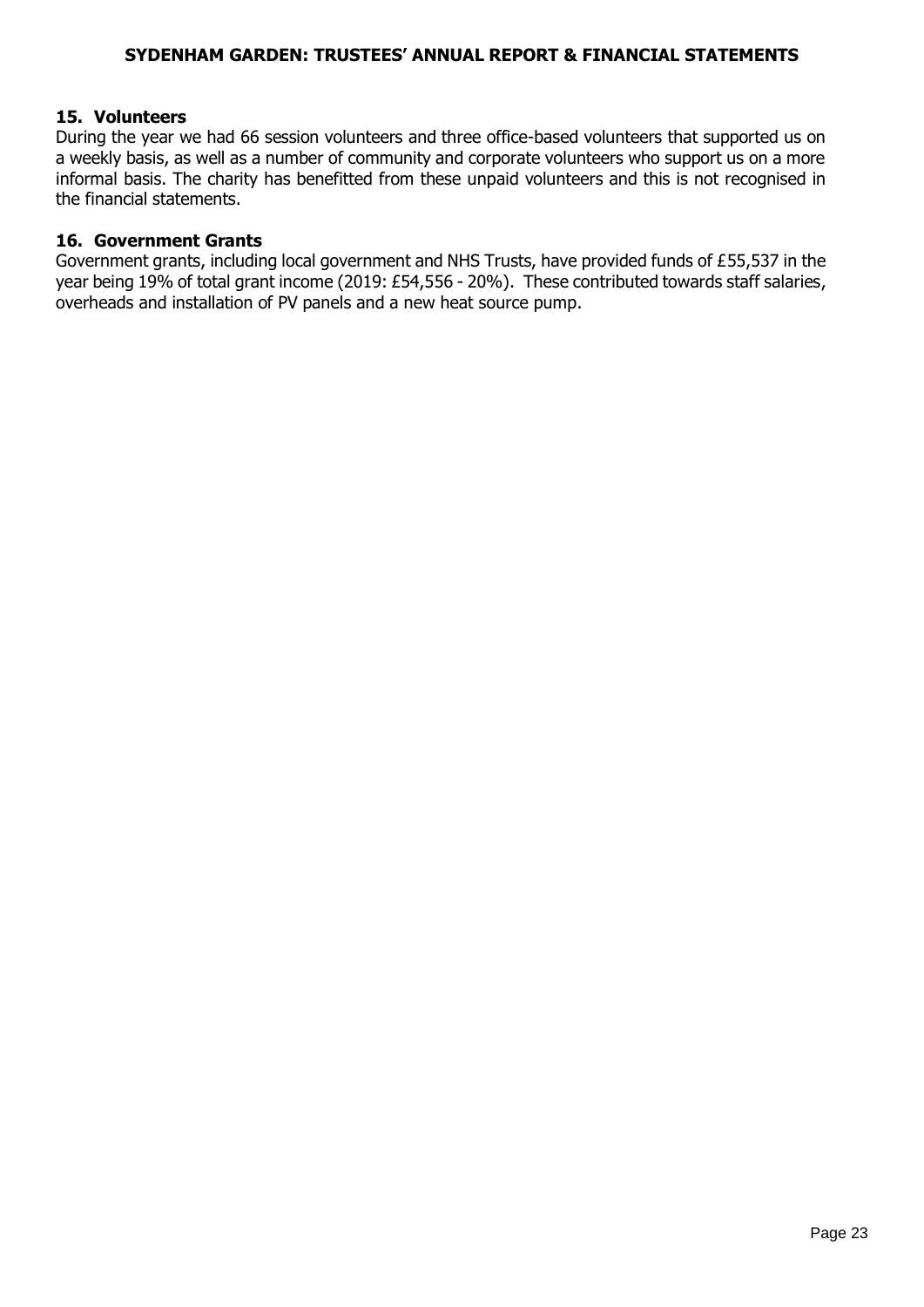#### **15. Volunteers**

During the year we had 66 session volunteers and three office-based volunteers that supported us on a weekly basis, as well as a number of community and corporate volunteers who support us on a more informal basis. The charity has benefitted from these unpaid volunteers and this is not recognised in the financial statements.

#### **16. Government Grants**

Government grants, including local government and NHS Trusts, have provided funds of £55,537 in the year being 19% of total grant income (2019: £54,556 - 20%). These contributed towards staff salaries, overheads and installation of PV panels and a new heat source pump.